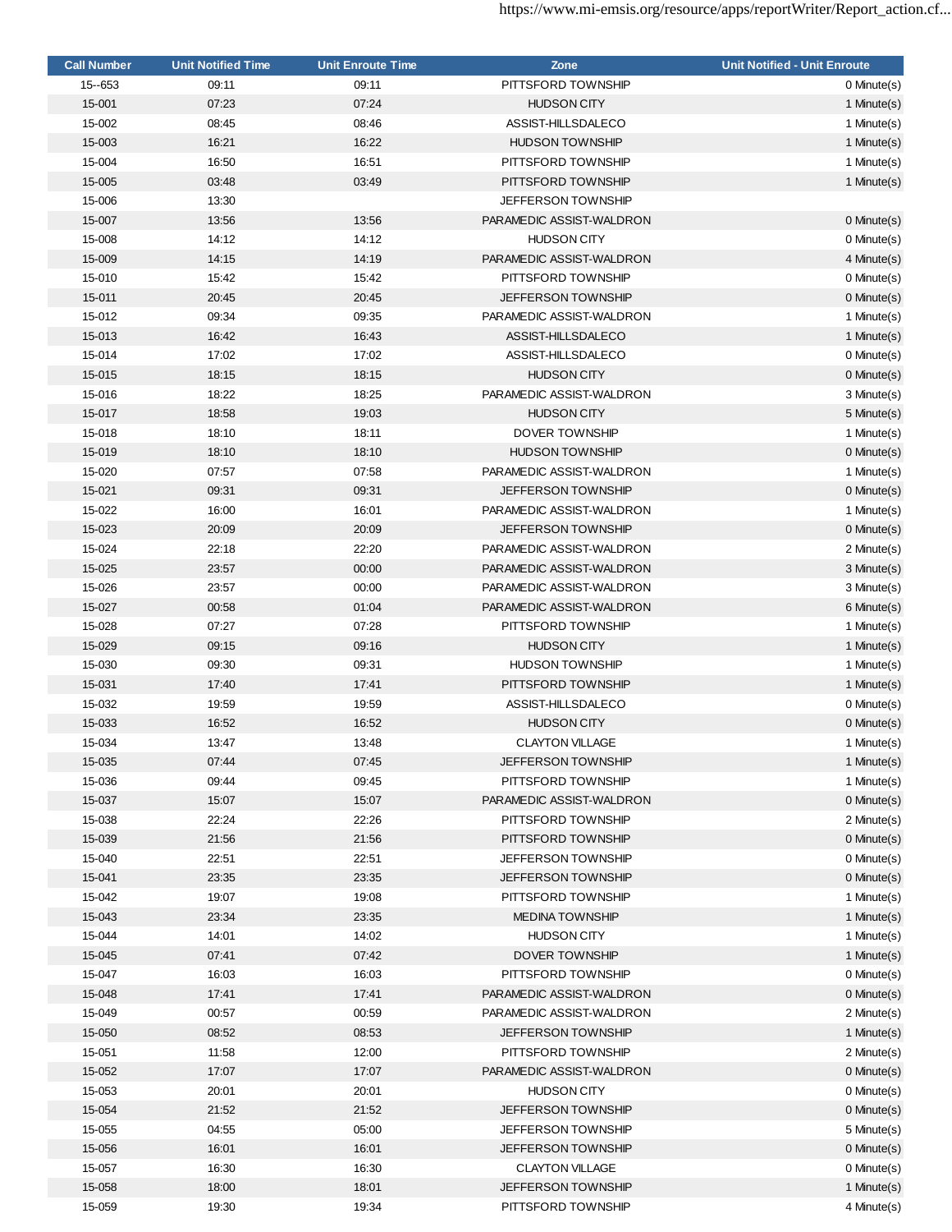| <b>Call Number</b> | <b>Unit Notified Time</b> | <b>Unit Enroute Time</b> | Zone                      | <b>Unit Notified - Unit Enroute</b> |
|--------------------|---------------------------|--------------------------|---------------------------|-------------------------------------|
| 15 -- 653          | 09:11                     | 09:11                    | PITTSFORD TOWNSHIP        | 0 Minute(s)                         |
| 15-001             | 07:23                     | 07:24                    | <b>HUDSON CITY</b>        | 1 Minute(s)                         |
| 15-002             | 08:45                     | 08:46                    | ASSIST-HILLSDALECO        | 1 Minute(s)                         |
| 15-003             | 16:21                     | 16:22                    | <b>HUDSON TOWNSHIP</b>    | 1 Minute(s)                         |
| 15-004             | 16:50                     | 16:51                    | PITTSFORD TOWNSHIP        | 1 Minute(s)                         |
| 15-005             | 03:48                     | 03:49                    | PITTSFORD TOWNSHIP        | 1 Minute(s)                         |
| 15-006             | 13:30                     |                          | JEFFERSON TOWNSHIP        |                                     |
| 15-007             | 13:56                     | 13:56                    | PARAMEDIC ASSIST-WALDRON  | 0 Minute(s)                         |
| 15-008             | 14:12                     | 14:12                    | <b>HUDSON CITY</b>        | 0 Minute(s)                         |
| 15-009             | 14:15                     | 14:19                    | PARAMEDIC ASSIST-WALDRON  | 4 Minute(s)                         |
| 15-010             | 15:42                     | 15:42                    | PITTSFORD TOWNSHIP        | 0 Minute(s)                         |
| 15-011             | 20:45                     | 20:45                    | <b>JEFFERSON TOWNSHIP</b> | 0 Minute(s)                         |
| 15-012             | 09:34                     | 09:35                    | PARAMEDIC ASSIST-WALDRON  | 1 Minute(s)                         |
| 15-013             | 16:42                     | 16:43                    | ASSIST-HILLSDALECO        | 1 Minute(s)                         |
| 15-014             | 17:02                     | 17:02                    | ASSIST-HILLSDALECO        | 0 Minute(s)                         |
| 15-015             | 18:15                     | 18:15                    | <b>HUDSON CITY</b>        | 0 Minute(s)                         |
| 15-016             | 18:22                     | 18:25                    | PARAMEDIC ASSIST-WALDRON  | 3 Minute(s)                         |
|                    |                           |                          |                           |                                     |
| 15-017             | 18:58                     | 19:03                    | <b>HUDSON CITY</b>        | 5 Minute(s)                         |
| 15-018             | 18:10                     | 18:11                    | DOVER TOWNSHIP            | 1 Minute(s)                         |
| 15-019             | 18:10                     | 18:10                    | <b>HUDSON TOWNSHIP</b>    | 0 Minute(s)                         |
| 15-020             | 07:57                     | 07:58                    | PARAMEDIC ASSIST-WALDRON  | 1 Minute(s)                         |
| 15-021             | 09:31                     | 09:31                    | <b>JEFFERSON TOWNSHIP</b> | 0 Minute(s)                         |
| 15-022             | 16:00                     | 16:01                    | PARAMEDIC ASSIST-WALDRON  | 1 Minute(s)                         |
| 15-023             | 20:09                     | 20:09                    | <b>JEFFERSON TOWNSHIP</b> | 0 Minute(s)                         |
| 15-024             | 22:18                     | 22:20                    | PARAMEDIC ASSIST-WALDRON  | 2 Minute(s)                         |
| 15-025             | 23:57                     | 00:00                    | PARAMEDIC ASSIST-WALDRON  | 3 Minute(s)                         |
| 15-026             | 23:57                     | 00:00                    | PARAMEDIC ASSIST-WALDRON  | 3 Minute(s)                         |
| 15-027             | 00:58                     | 01:04                    | PARAMEDIC ASSIST-WALDRON  | 6 Minute(s)                         |
| 15-028             | 07:27                     | 07:28                    | PITTSFORD TOWNSHIP        | 1 Minute(s)                         |
| 15-029             | 09:15                     | 09:16                    | <b>HUDSON CITY</b>        | 1 Minute(s)                         |
| 15-030             | 09:30                     | 09:31                    | <b>HUDSON TOWNSHIP</b>    | 1 Minute(s)                         |
| 15-031             | 17:40                     | 17:41                    | PITTSFORD TOWNSHIP        | 1 Minute(s)                         |
| 15-032             | 19:59                     | 19:59                    | ASSIST-HILLSDALECO        | 0 Minute(s)                         |
| 15-033             | 16:52                     | 16:52                    | <b>HUDSON CITY</b>        | 0 Minute(s)                         |
| 15-034             | 13:47                     | 13:48                    | <b>CLAYTON VILLAGE</b>    | 1 Minute(s)                         |
| 15-035             | 07:44                     | 07:45                    | JEFFERSON TOWNSHIP        | 1 Minute(s)                         |
| 15-036             | 09:44                     | 09:45                    | PITTSFORD TOWNSHIP        | 1 Minute(s)                         |
| 15-037             | 15:07                     | 15:07                    | PARAMEDIC ASSIST-WALDRON  | 0 Minute(s)                         |
| 15-038             | 22:24                     | 22:26                    | PITTSFORD TOWNSHIP        | 2 Minute(s)                         |
| 15-039             | 21:56                     | 21:56                    | PITTSFORD TOWNSHIP        | 0 Minute(s)                         |
| 15-040             | 22:51                     | 22:51                    | JEFFERSON TOWNSHIP        | 0 Minute(s)                         |
| 15-041             | 23:35                     | 23:35                    | JEFFERSON TOWNSHIP        | 0 Minute(s)                         |
| 15-042             | 19:07                     | 19:08                    | PITTSFORD TOWNSHIP        | 1 Minute(s)                         |
| 15-043             | 23:34                     | 23:35                    | <b>MEDINA TOWNSHIP</b>    | 1 Minute(s)                         |
| 15-044             | 14:01                     | 14:02                    | <b>HUDSON CITY</b>        | 1 Minute(s)                         |
| 15-045             | 07:41                     | 07:42                    | <b>DOVER TOWNSHIP</b>     | 1 Minute(s)                         |
| 15-047             | 16:03                     | 16:03                    | PITTSFORD TOWNSHIP        | 0 Minute(s)                         |
| 15-048             | 17:41                     | 17:41                    | PARAMEDIC ASSIST-WALDRON  | 0 Minute(s)                         |
| 15-049             | 00:57                     | 00:59                    | PARAMEDIC ASSIST-WALDRON  | 2 Minute(s)                         |
| 15-050             | 08:52                     | 08:53                    |                           |                                     |
|                    |                           |                          | JEFFERSON TOWNSHIP        | 1 Minute(s)                         |
| 15-051             | 11:58                     | 12:00                    | PITTSFORD TOWNSHIP        | 2 Minute(s)                         |
| 15-052             | 17:07                     | 17:07                    | PARAMEDIC ASSIST-WALDRON  | 0 Minute(s)                         |
| 15-053             | 20:01                     | 20:01                    | <b>HUDSON CITY</b>        | 0 Minute(s)                         |
| 15-054             | 21:52                     | 21:52                    | JEFFERSON TOWNSHIP        | 0 Minute(s)                         |
| 15-055             | 04:55                     | 05:00                    | JEFFERSON TOWNSHIP        | 5 Minute(s)                         |
| 15-056             | 16:01                     | 16:01                    | <b>JEFFERSON TOWNSHIP</b> | 0 Minute(s)                         |
| 15-057             | 16:30                     | 16:30                    | <b>CLAYTON VILLAGE</b>    | 0 Minute(s)                         |
| 15-058             | 18:00                     | 18:01                    | JEFFERSON TOWNSHIP        | 1 Minute(s)                         |
| 15-059             | 19:30                     | 19:34                    | PITTSFORD TOWNSHIP        | 4 Minute(s)                         |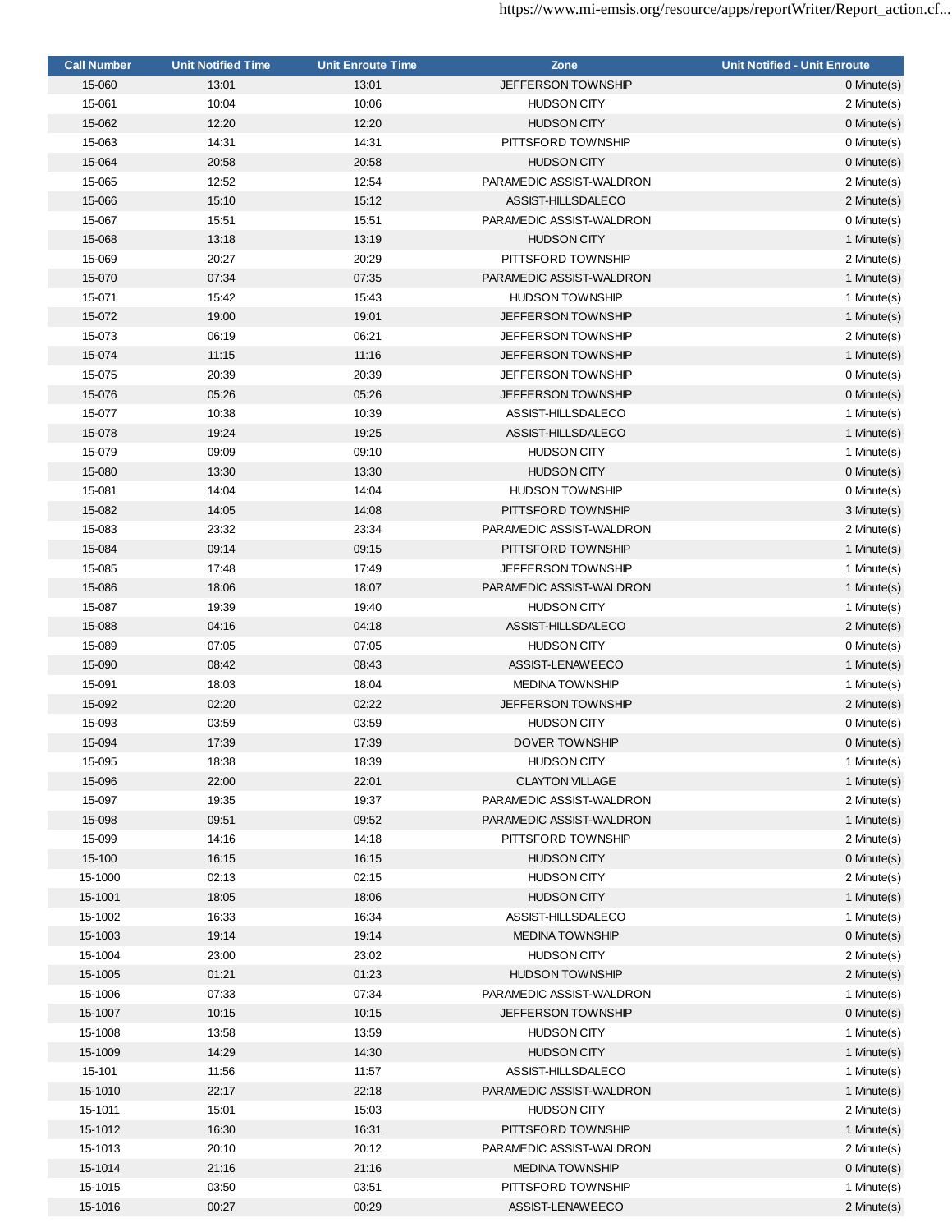| <b>Call Number</b> | <b>Unit Notified Time</b> | <b>Unit Enroute Time</b> | Zone                      | <b>Unit Notified - Unit Enroute</b> |
|--------------------|---------------------------|--------------------------|---------------------------|-------------------------------------|
| 15-060             | 13:01                     | 13:01                    | <b>JEFFERSON TOWNSHIP</b> | $0$ Minute $(s)$                    |
| 15-061             | 10:04                     | 10:06                    | <b>HUDSON CITY</b>        | 2 Minute(s)                         |
| 15-062             | 12:20                     | 12:20                    | <b>HUDSON CITY</b>        | $0$ Minute $(s)$                    |
| 15-063             | 14:31                     | 14:31                    | PITTSFORD TOWNSHIP        | 0 Minute(s)                         |
| 15-064             | 20:58                     | 20:58                    | <b>HUDSON CITY</b>        | 0 Minute(s)                         |
| 15-065             | 12:52                     | 12:54                    | PARAMEDIC ASSIST-WALDRON  | 2 Minute(s)                         |
| 15-066             | 15:10                     | 15:12                    | ASSIST-HILLSDALECO        | 2 Minute(s)                         |
| 15-067             | 15:51                     | 15:51                    | PARAMEDIC ASSIST-WALDRON  | 0 Minute(s)                         |
| 15-068             | 13:18                     | 13:19                    | <b>HUDSON CITY</b>        | 1 Minute(s)                         |
| 15-069             | 20:27                     | 20:29                    | PITTSFORD TOWNSHIP        | 2 Minute(s)                         |
| 15-070             | 07:34                     | 07:35                    | PARAMEDIC ASSIST-WALDRON  | 1 Minute(s)                         |
| 15-071             | 15:42                     | 15:43                    | <b>HUDSON TOWNSHIP</b>    | 1 Minute(s)                         |
| 15-072             | 19:00                     | 19:01                    | <b>JEFFERSON TOWNSHIP</b> | 1 Minute(s)                         |
| 15-073             | 06:19                     | 06:21                    | <b>JEFFERSON TOWNSHIP</b> | 2 Minute(s)                         |
| 15-074             | 11:15                     | 11:16                    | <b>JEFFERSON TOWNSHIP</b> | 1 Minute(s)                         |
| 15-075             | 20:39                     | 20:39                    | <b>JEFFERSON TOWNSHIP</b> | 0 Minute(s)                         |
| 15-076             | 05:26                     | 05:26                    | <b>JEFFERSON TOWNSHIP</b> | 0 Minute(s)                         |
| 15-077             | 10:38                     | 10:39                    | ASSIST-HILLSDALECO        | 1 Minute(s)                         |
| 15-078             | 19:24                     | 19:25                    | ASSIST-HILLSDALECO        | 1 Minute(s)                         |
| 15-079             | 09:09                     | 09:10                    | <b>HUDSON CITY</b>        | 1 Minute(s)                         |
| 15-080             | 13:30                     | 13:30                    | <b>HUDSON CITY</b>        | 0 Minute(s)                         |
| 15-081             | 14:04                     | 14:04                    | <b>HUDSON TOWNSHIP</b>    | 0 Minute(s)                         |
| 15-082             | 14:05                     | 14:08                    | PITTSFORD TOWNSHIP        | 3 Minute(s)                         |
| 15-083             | 23:32                     | 23:34                    | PARAMEDIC ASSIST-WALDRON  | 2 Minute(s)                         |
| 15-084             | 09:14                     | 09:15                    | PITTSFORD TOWNSHIP        | 1 Minute(s)                         |
| 15-085             | 17:48                     | 17:49                    | <b>JEFFERSON TOWNSHIP</b> | 1 Minute(s)                         |
| 15-086             | 18:06                     | 18:07                    | PARAMEDIC ASSIST-WALDRON  | 1 Minute(s)                         |
| 15-087             | 19:39                     | 19:40                    | <b>HUDSON CITY</b>        | 1 Minute(s)                         |
| 15-088             | 04:16                     | 04:18                    | ASSIST-HILLSDALECO        | 2 Minute(s)                         |
| 15-089             | 07:05                     | 07:05                    | <b>HUDSON CITY</b>        | 0 Minute(s)                         |
| 15-090             | 08:42                     | 08:43                    | ASSIST-LENAWEECO          | 1 Minute(s)                         |
| 15-091             | 18:03                     | 18:04                    | <b>MEDINA TOWNSHIP</b>    | 1 Minute(s)                         |
| 15-092             | 02:20                     | 02:22                    | <b>JEFFERSON TOWNSHIP</b> | 2 Minute(s)                         |
| 15-093             | 03:59                     | 03:59                    | <b>HUDSON CITY</b>        | 0 Minute(s)                         |
| 15-094             | 17:39                     | 17:39                    | <b>DOVER TOWNSHIP</b>     | 0 Minute(s)                         |
| 15-095             | 18:38                     | 18:39                    | <b>HUDSON CITY</b>        | 1 Minute(s)                         |
| 15-096             | 22:00                     | 22:01                    | <b>CLAYTON VILLAGE</b>    | 1 Minute(s)                         |
| 15-097             | 19:35                     | 19:37                    | PARAMEDIC ASSIST-WALDRON  | 2 Minute(s)                         |
| 15-098             | 09:51                     | 09:52                    | PARAMEDIC ASSIST-WALDRON  | 1 Minute(s)                         |
| 15-099             | 14:16                     | 14:18                    | PITTSFORD TOWNSHIP        | 2 Minute(s)                         |
| 15-100             | 16:15                     | 16:15                    | <b>HUDSON CITY</b>        | 0 Minute(s)                         |
| 15-1000            | 02:13                     | 02:15                    | <b>HUDSON CITY</b>        | 2 Minute(s)                         |
| 15-1001            | 18:05                     | 18:06                    | <b>HUDSON CITY</b>        | 1 Minute(s)                         |
| 15-1002            | 16:33                     | 16:34                    | ASSIST-HILLSDALECO        | 1 Minute(s)                         |
| 15-1003            | 19:14                     | 19:14                    | <b>MEDINA TOWNSHIP</b>    | 0 Minute(s)                         |
| 15-1004            | 23:00                     | 23:02                    | <b>HUDSON CITY</b>        | 2 Minute(s)                         |
| 15-1005            | 01:21                     | 01:23                    | <b>HUDSON TOWNSHIP</b>    | 2 Minute(s)                         |
| 15-1006            | 07:33                     | 07:34                    | PARAMEDIC ASSIST-WALDRON  | 1 Minute(s)                         |
| 15-1007            | 10:15                     | 10:15                    | <b>JEFFERSON TOWNSHIP</b> | 0 Minute(s)                         |
| 15-1008            | 13:58                     | 13:59                    | <b>HUDSON CITY</b>        | 1 Minute(s)                         |
| 15-1009            | 14:29                     | 14:30                    | <b>HUDSON CITY</b>        | 1 Minute(s)                         |
| 15-101             | 11:56                     | 11:57                    | ASSIST-HILLSDALECO        | 1 Minute(s)                         |
| 15-1010            | 22:17                     | 22:18                    | PARAMEDIC ASSIST-WALDRON  | 1 Minute(s)                         |
| 15-1011            | 15:01                     | 15:03                    | <b>HUDSON CITY</b>        | 2 Minute(s)                         |
| 15-1012            | 16:30                     | 16:31                    | PITTSFORD TOWNSHIP        | 1 Minute(s)                         |
| 15-1013            | 20:10                     | 20:12                    | PARAMEDIC ASSIST-WALDRON  | 2 Minute(s)                         |
| 15-1014            | 21:16                     | 21:16                    | <b>MEDINA TOWNSHIP</b>    | 0 Minute(s)                         |
| 15-1015            | 03:50                     | 03:51                    | PITTSFORD TOWNSHIP        | 1 Minute(s)                         |
| 15-1016            | 00:27                     | 00:29                    | ASSIST-LENAWEECO          | 2 Minute(s)                         |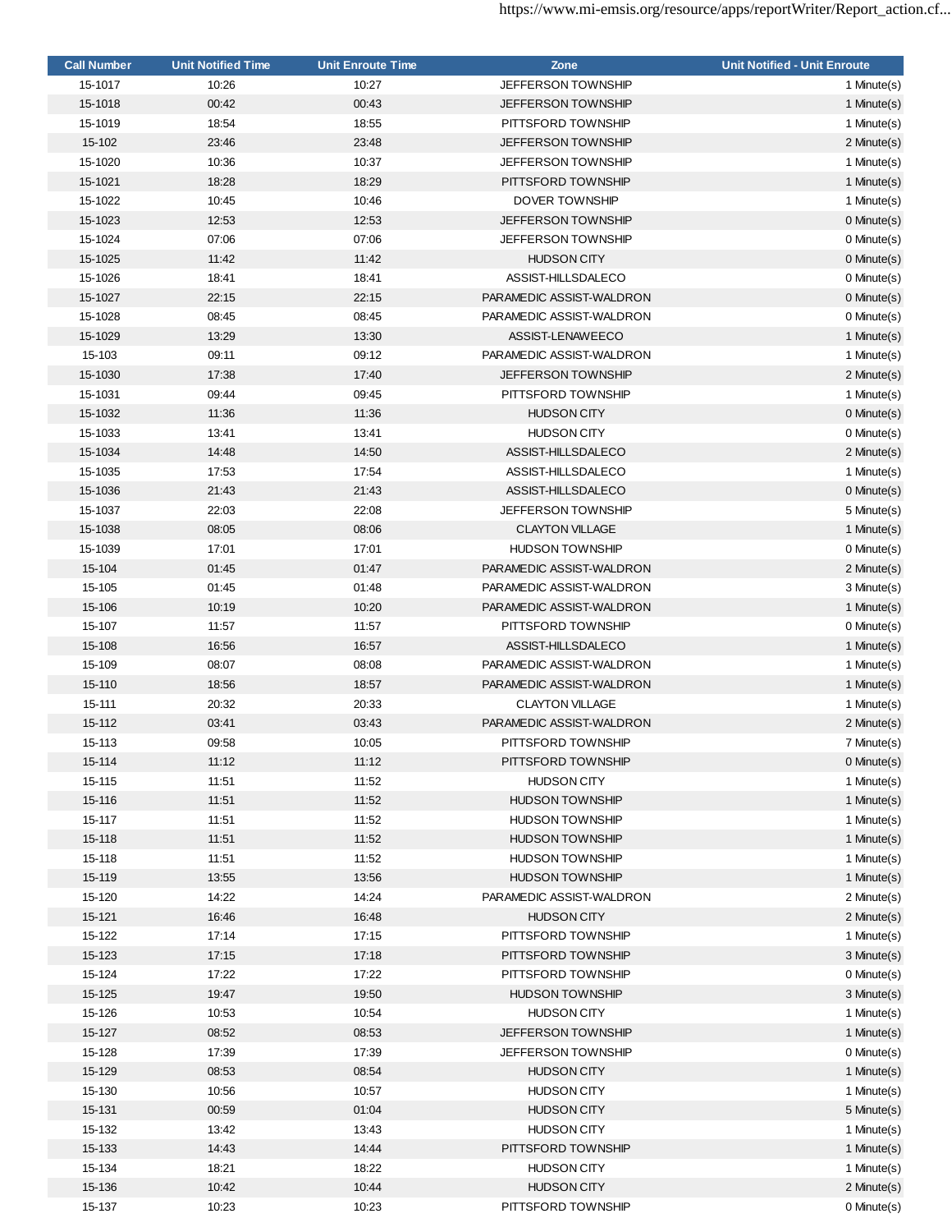| <b>Call Number</b> | <b>Unit Notified Time</b> | <b>Unit Enroute Time</b> | Zone                                            | <b>Unit Notified - Unit Enroute</b> |
|--------------------|---------------------------|--------------------------|-------------------------------------------------|-------------------------------------|
| 15-1017            | 10:26                     | 10:27                    | <b>JEFFERSON TOWNSHIP</b>                       | 1 Minute(s)                         |
| 15-1018            | 00:42                     | 00:43                    | <b>JEFFERSON TOWNSHIP</b>                       | 1 Minute(s)                         |
| 15-1019            | 18:54                     | 18:55                    | PITTSFORD TOWNSHIP                              | 1 Minute(s)                         |
| 15-102             | 23:46                     | 23:48                    | <b>JEFFERSON TOWNSHIP</b>                       | 2 Minute(s)                         |
| 15-1020            | 10:36                     | 10:37                    | <b>JEFFERSON TOWNSHIP</b>                       | 1 Minute(s)                         |
| 15-1021            | 18:28                     | 18:29                    | PITTSFORD TOWNSHIP                              | 1 Minute(s)                         |
| 15-1022            | 10:45                     | 10:46                    | DOVER TOWNSHIP                                  | 1 Minute(s)                         |
| 15-1023            | 12:53                     | 12:53                    | <b>JEFFERSON TOWNSHIP</b>                       | $0$ Minute $(s)$                    |
| 15-1024            | 07:06                     | 07:06                    | <b>JEFFERSON TOWNSHIP</b>                       | 0 Minute(s)                         |
| 15-1025            | 11:42                     | 11:42                    | <b>HUDSON CITY</b>                              | 0 Minute(s)                         |
| 15-1026            | 18:41                     | 18:41                    | ASSIST-HILLSDALECO                              | 0 Minute(s)                         |
| 15-1027            | 22:15                     | 22:15                    | PARAMEDIC ASSIST-WALDRON                        | 0 Minute(s)                         |
| 15-1028            | 08:45                     | 08:45                    | PARAMEDIC ASSIST-WALDRON                        | 0 Minute(s)                         |
| 15-1029            | 13:29                     | 13:30                    | ASSIST-LENAWEECO                                | 1 Minute(s)                         |
| 15-103             | 09:11                     | 09:12                    | PARAMEDIC ASSIST-WALDRON                        | 1 Minute(s)                         |
| 15-1030            | 17:38                     |                          |                                                 |                                     |
|                    |                           | 17:40<br>09:45           | <b>JEFFERSON TOWNSHIP</b><br>PITTSFORD TOWNSHIP | 2 Minute(s)                         |
| 15-1031            | 09:44                     |                          |                                                 | 1 Minute(s)                         |
| 15-1032            | 11:36                     | 11:36                    | <b>HUDSON CITY</b>                              | 0 Minute(s)                         |
| 15-1033            | 13:41                     | 13:41                    | <b>HUDSON CITY</b>                              | 0 Minute(s)                         |
| 15-1034            | 14:48                     | 14:50                    | ASSIST-HILLSDALECO                              | 2 Minute(s)                         |
| 15-1035            | 17:53                     | 17:54                    | ASSIST-HILLSDALECO                              | 1 Minute(s)                         |
| 15-1036            | 21:43                     | 21:43                    | ASSIST-HILLSDALECO                              | $0$ Minute $(s)$                    |
| 15-1037            | 22:03                     | 22:08                    | <b>JEFFERSON TOWNSHIP</b>                       | 5 Minute(s)                         |
| 15-1038            | 08:05                     | 08:06                    | <b>CLAYTON VILLAGE</b>                          | 1 Minute(s)                         |
| 15-1039            | 17:01                     | 17:01                    | <b>HUDSON TOWNSHIP</b>                          | 0 Minute(s)                         |
| 15-104             | 01:45                     | 01:47                    | PARAMEDIC ASSIST-WALDRON                        | 2 Minute(s)                         |
| 15-105             | 01:45                     | 01:48                    | PARAMEDIC ASSIST-WALDRON                        | 3 Minute(s)                         |
| 15-106             | 10:19                     | 10:20                    | PARAMEDIC ASSIST-WALDRON                        | 1 Minute(s)                         |
| 15-107             | 11:57                     | 11:57                    | PITTSFORD TOWNSHIP                              | 0 Minute(s)                         |
| 15-108             | 16:56                     | 16:57                    | ASSIST-HILLSDALECO                              | 1 Minute(s)                         |
| 15-109             | 08:07                     | 08:08                    | PARAMEDIC ASSIST-WALDRON                        | 1 Minute(s)                         |
| 15-110             | 18:56                     | 18:57                    | PARAMEDIC ASSIST-WALDRON                        | 1 Minute(s)                         |
| 15-111             | 20:32                     | 20:33                    | <b>CLAYTON VILLAGE</b>                          | 1 Minute(s)                         |
| 15-112             | 03:41                     | 03:43                    | PARAMEDIC ASSIST-WALDRON                        | 2 Minute(s)                         |
| 15-113             | 09:58                     | 10:05                    | PITTSFORD TOWNSHIP                              | 7 Minute(s)                         |
| 15-114             | 11:12                     | 11:12                    | PITTSFORD TOWNSHIP                              | 0 Minute(s)                         |
| 15-115             | 11:51                     | 11:52                    | <b>HUDSON CITY</b>                              | 1 Minute(s)                         |
| 15-116             | 11:51                     | 11:52                    | <b>HUDSON TOWNSHIP</b>                          | 1 Minute(s)                         |
| 15-117             | 11:51                     | 11:52                    | <b>HUDSON TOWNSHIP</b>                          | 1 Minute(s)                         |
| 15-118             | 11:51                     | 11:52                    | <b>HUDSON TOWNSHIP</b>                          | 1 Minute(s)                         |
| 15-118             | 11:51                     | 11:52                    | <b>HUDSON TOWNSHIP</b>                          | 1 Minute(s)                         |
| 15-119             | 13:55                     | 13:56                    | <b>HUDSON TOWNSHIP</b>                          | 1 Minute(s)                         |
| 15-120             | 14:22                     | 14:24                    | PARAMEDIC ASSIST-WALDRON                        | 2 Minute(s)                         |
| 15-121             | 16:46                     | 16:48                    | <b>HUDSON CITY</b>                              | 2 Minute(s)                         |
| 15-122             | 17:14                     | 17:15                    | PITTSFORD TOWNSHIP                              | 1 Minute(s)                         |
| 15-123             | 17:15                     | 17:18                    | PITTSFORD TOWNSHIP                              | 3 Minute(s)                         |
| 15-124             | 17:22                     | 17:22                    | PITTSFORD TOWNSHIP                              | 0 Minute(s)                         |
| 15-125             | 19:47                     | 19:50                    | <b>HUDSON TOWNSHIP</b>                          | 3 Minute(s)                         |
|                    |                           | 10:54                    |                                                 |                                     |
| 15-126             | 10:53                     |                          | <b>HUDSON CITY</b>                              | 1 Minute(s)                         |
| 15-127             | 08:52                     | 08:53                    | JEFFERSON TOWNSHIP                              | 1 Minute(s)                         |
| 15-128             | 17:39                     | 17:39                    | <b>JEFFERSON TOWNSHIP</b>                       | 0 Minute(s)                         |
| 15-129             | 08:53                     | 08:54                    | <b>HUDSON CITY</b>                              | 1 Minute(s)                         |
| 15-130             | 10:56                     | 10:57                    | <b>HUDSON CITY</b>                              | 1 Minute(s)                         |
| 15-131             | 00:59                     | 01:04                    | <b>HUDSON CITY</b>                              | 5 Minute(s)                         |
| 15-132             | 13:42                     | 13:43                    | <b>HUDSON CITY</b>                              | 1 Minute(s)                         |
| 15-133             | 14:43                     | 14:44                    | PITTSFORD TOWNSHIP                              | 1 Minute(s)                         |
| 15-134             | 18:21                     | 18:22                    | <b>HUDSON CITY</b>                              | 1 Minute(s)                         |
| 15-136             | 10:42                     | 10:44                    | <b>HUDSON CITY</b>                              | 2 Minute(s)                         |
| 15-137             | 10:23                     | 10:23                    | PITTSFORD TOWNSHIP                              | 0 Minute(s)                         |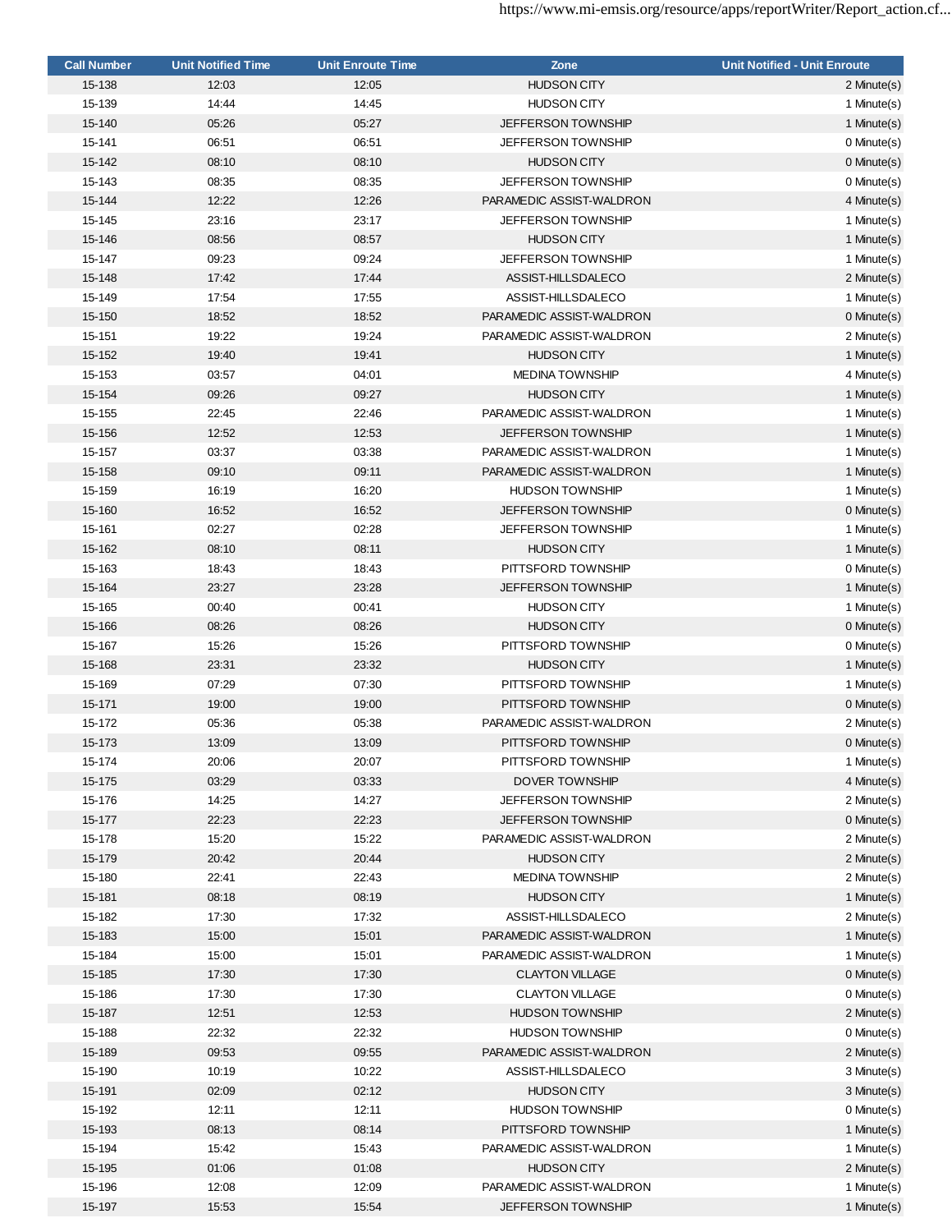| <b>Call Number</b> | <b>Unit Notified Time</b> | <b>Unit Enroute Time</b> | Zone                      | <b>Unit Notified - Unit Enroute</b> |
|--------------------|---------------------------|--------------------------|---------------------------|-------------------------------------|
| 15-138             | 12:03                     | 12:05                    | <b>HUDSON CITY</b>        | 2 Minute(s)                         |
| 15-139             | 14:44                     | 14:45                    | <b>HUDSON CITY</b>        | 1 Minute(s)                         |
| 15-140             | 05:26                     | 05:27                    | <b>JEFFERSON TOWNSHIP</b> | 1 Minute(s)                         |
| 15-141             | 06:51                     | 06:51                    | <b>JEFFERSON TOWNSHIP</b> | 0 Minute(s)                         |
| 15-142             | 08:10                     | 08:10                    | <b>HUDSON CITY</b>        | 0 Minute(s)                         |
| 15-143             | 08:35                     | 08:35                    | <b>JEFFERSON TOWNSHIP</b> | 0 Minute(s)                         |
| 15-144             | 12:22                     | 12:26                    | PARAMEDIC ASSIST-WALDRON  | 4 Minute(s)                         |
| 15-145             | 23:16                     | 23:17                    | JEFFERSON TOWNSHIP        | 1 Minute(s)                         |
| 15-146             | 08:56                     | 08:57                    | <b>HUDSON CITY</b>        | 1 Minute(s)                         |
| 15-147             | 09:23                     | 09:24                    | <b>JEFFERSON TOWNSHIP</b> | 1 Minute(s)                         |
| 15-148             | 17:42                     | 17:44                    | ASSIST-HILLSDALECO        | 2 Minute(s)                         |
| 15-149             | 17:54                     | 17:55                    | ASSIST-HILLSDALECO        | 1 Minute(s)                         |
| 15-150             | 18:52                     | 18:52                    | PARAMEDIC ASSIST-WALDRON  | $0$ Minute $(s)$                    |
| 15-151             | 19:22                     | 19:24                    | PARAMEDIC ASSIST-WALDRON  | 2 Minute(s)                         |
| 15-152             | 19:40                     | 19:41                    | <b>HUDSON CITY</b>        | 1 Minute(s)                         |
| 15-153             | 03:57                     | 04:01                    | <b>MEDINA TOWNSHIP</b>    | 4 Minute(s)                         |
| 15-154             | 09:26                     | 09:27                    | <b>HUDSON CITY</b>        | 1 Minute(s)                         |
| 15-155             | 22:45                     | 22:46                    | PARAMEDIC ASSIST-WALDRON  | 1 Minute(s)                         |
| 15-156             | 12:52                     | 12:53                    | <b>JEFFERSON TOWNSHIP</b> | 1 Minute(s)                         |
|                    |                           |                          |                           |                                     |
| 15-157             | 03:37                     | 03:38                    | PARAMEDIC ASSIST-WALDRON  | 1 Minute(s)                         |
| 15-158             | 09:10                     | 09:11                    | PARAMEDIC ASSIST-WALDRON  | 1 Minute(s)                         |
| 15-159             | 16:19                     | 16:20                    | <b>HUDSON TOWNSHIP</b>    | 1 Minute(s)                         |
| 15-160             | 16:52                     | 16:52                    | <b>JEFFERSON TOWNSHIP</b> | $0$ Minute $(s)$                    |
| 15-161             | 02:27                     | 02:28                    | <b>JEFFERSON TOWNSHIP</b> | 1 Minute(s)                         |
| 15-162             | 08:10                     | 08:11                    | <b>HUDSON CITY</b>        | 1 Minute(s)                         |
| 15-163             | 18:43                     | 18:43                    | PITTSFORD TOWNSHIP        | 0 Minute(s)                         |
| 15-164             | 23:27                     | 23:28                    | <b>JEFFERSON TOWNSHIP</b> | 1 Minute(s)                         |
| 15-165             | 00:40                     | 00:41                    | <b>HUDSON CITY</b>        | 1 Minute(s)                         |
| 15-166             | 08:26                     | 08:26                    | <b>HUDSON CITY</b>        | $0$ Minute $(s)$                    |
| 15-167             | 15:26                     | 15:26                    | PITTSFORD TOWNSHIP        | 0 Minute(s)                         |
| 15-168             | 23:31                     | 23:32                    | <b>HUDSON CITY</b>        | 1 Minute(s)                         |
| 15-169             | 07:29                     | 07:30                    | PITTSFORD TOWNSHIP        | 1 Minute(s)                         |
| 15-171             | 19:00                     | 19:00                    | PITTSFORD TOWNSHIP        | 0 Minute(s)                         |
| 15-172             | 05:36                     | 05:38                    | PARAMEDIC ASSIST-WALDRON  | 2 Minute(s)                         |
| 15-173             | 13:09                     | 13:09                    | PITTSFORD TOWNSHIP        | 0 Minute(s)                         |
| 15-174             | 20:06                     | 20:07                    | PITTSFORD TOWNSHIP        | 1 Minute(s)                         |
| 15-175             | 03:29                     | 03:33                    | DOVER TOWNSHIP            | 4 Minute(s)                         |
| 15-176             | 14:25                     | 14:27                    | <b>JEFFERSON TOWNSHIP</b> | 2 Minute(s)                         |
| 15-177             | 22:23                     | 22:23                    | <b>JEFFERSON TOWNSHIP</b> | 0 Minute(s)                         |
| 15-178             | 15:20                     | 15:22                    | PARAMEDIC ASSIST-WALDRON  | 2 Minute(s)                         |
| 15-179             | 20:42                     | 20:44                    | <b>HUDSON CITY</b>        | 2 Minute(s)                         |
| 15-180             | 22:41                     | 22:43                    | <b>MEDINA TOWNSHIP</b>    | 2 Minute(s)                         |
| 15-181             | 08:18                     | 08:19                    | <b>HUDSON CITY</b>        | 1 Minute(s)                         |
| 15-182             | 17:30                     | 17:32                    | ASSIST-HILLSDALECO        | 2 Minute(s)                         |
| 15-183             | 15:00                     | 15:01                    | PARAMEDIC ASSIST-WALDRON  | 1 Minute(s)                         |
| 15-184             | 15:00                     | 15:01                    | PARAMEDIC ASSIST-WALDRON  | 1 Minute(s)                         |
| 15-185             | 17:30                     | 17:30                    | <b>CLAYTON VILLAGE</b>    | 0 Minute(s)                         |
| 15-186             | 17:30                     | 17:30                    | <b>CLAYTON VILLAGE</b>    | 0 Minute(s)                         |
| 15-187             | 12:51                     | 12:53                    | <b>HUDSON TOWNSHIP</b>    | 2 Minute(s)                         |
| 15-188             | 22:32                     | 22:32                    | <b>HUDSON TOWNSHIP</b>    | 0 Minute(s)                         |
| 15-189             | 09:53                     | 09:55                    | PARAMEDIC ASSIST-WALDRON  | 2 Minute(s)                         |
| 15-190             | 10:19                     | 10:22                    | ASSIST-HILLSDALECO        | 3 Minute(s)                         |
| 15-191             | 02:09                     | 02:12                    | <b>HUDSON CITY</b>        | 3 Minute(s)                         |
| 15-192             | 12:11                     | 12:11                    | <b>HUDSON TOWNSHIP</b>    | 0 Minute(s)                         |
| 15-193             | 08:13                     | 08:14                    | PITTSFORD TOWNSHIP        | 1 Minute(s)                         |
| 15-194             | 15:42                     | 15:43                    | PARAMEDIC ASSIST-WALDRON  | 1 Minute(s)                         |
| 15-195             | 01:06                     | 01:08                    | <b>HUDSON CITY</b>        | 2 Minute(s)                         |
| 15-196             | 12:08                     | 12:09                    | PARAMEDIC ASSIST-WALDRON  | 1 Minute(s)                         |
| 15-197             | 15:53                     | 15:54                    | JEFFERSON TOWNSHIP        | 1 Minute(s)                         |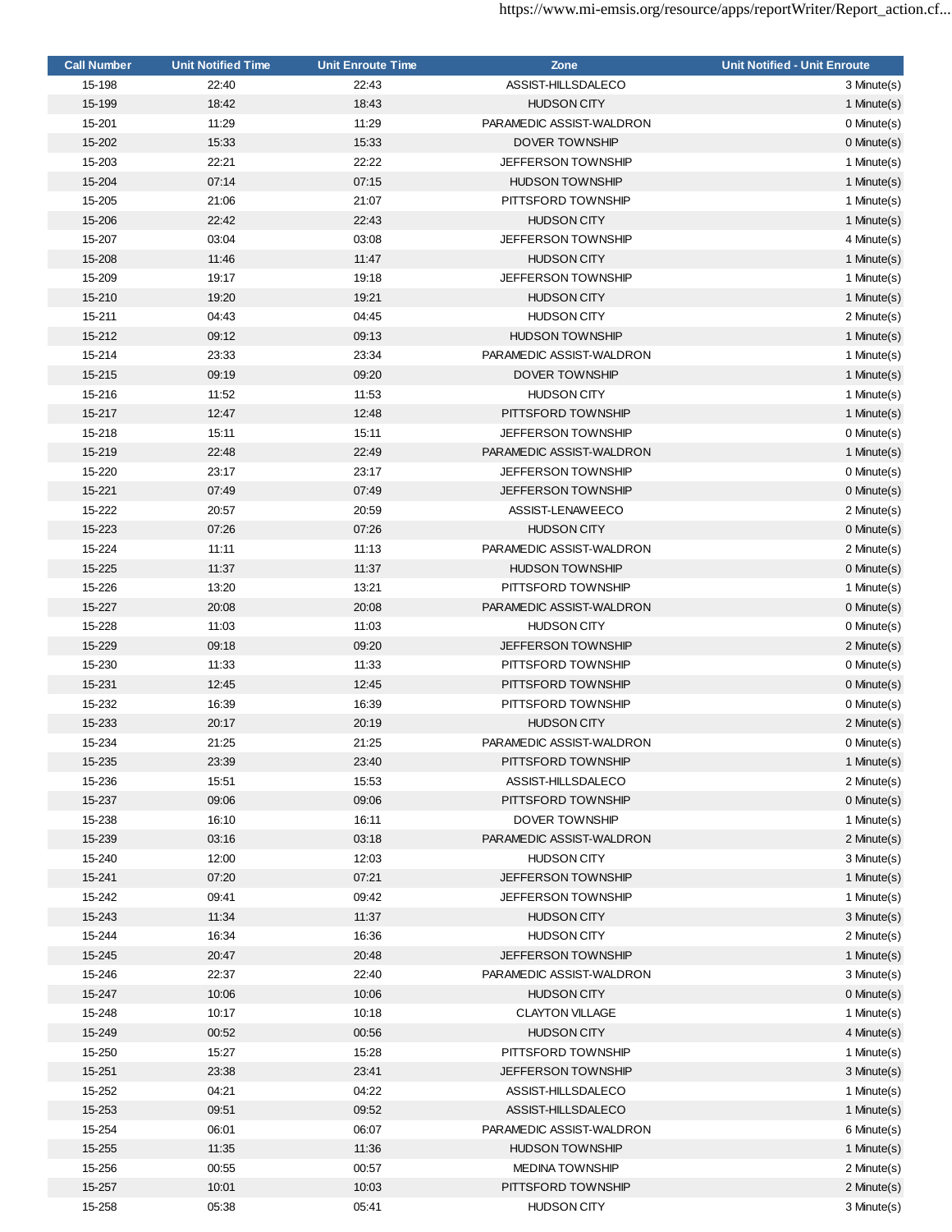| <b>Call Number</b> | <b>Unit Notified Time</b> | <b>Unit Enroute Time</b> | Zone                      | <b>Unit Notified - Unit Enroute</b> |
|--------------------|---------------------------|--------------------------|---------------------------|-------------------------------------|
| 15-198             | 22:40                     | 22:43                    | ASSIST-HILLSDALECO        | 3 Minute(s)                         |
| 15-199             | 18:42                     | 18:43                    | <b>HUDSON CITY</b>        | 1 Minute(s)                         |
| 15-201             | 11:29                     | 11:29                    | PARAMEDIC ASSIST-WALDRON  | 0 Minute(s)                         |
| 15-202             | 15:33                     | 15:33                    | <b>DOVER TOWNSHIP</b>     | 0 Minute(s)                         |
| 15-203             | 22:21                     | 22:22                    | <b>JEFFERSON TOWNSHIP</b> | 1 Minute(s)                         |
| 15-204             | 07:14                     | 07:15                    | <b>HUDSON TOWNSHIP</b>    | 1 Minute(s)                         |
| 15-205             | 21:06                     | 21:07                    | PITTSFORD TOWNSHIP        | 1 Minute(s)                         |
| 15-206             | 22:42                     | 22:43                    | <b>HUDSON CITY</b>        | 1 Minute(s)                         |
| 15-207             | 03:04                     | 03:08                    | JEFFERSON TOWNSHIP        | 4 Minute(s)                         |
| 15-208             | 11:46                     | 11:47                    | <b>HUDSON CITY</b>        | 1 Minute(s)                         |
| 15-209             | 19:17                     | 19:18                    | JEFFERSON TOWNSHIP        | 1 Minute(s)                         |
| 15-210             | 19:20                     | 19:21                    | <b>HUDSON CITY</b>        | 1 Minute(s)                         |
| 15-211             | 04:43                     | 04:45                    | <b>HUDSON CITY</b>        | 2 Minute(s)                         |
| 15-212             | 09:12                     | 09:13                    | <b>HUDSON TOWNSHIP</b>    | 1 Minute(s)                         |
|                    |                           |                          |                           |                                     |
| 15-214             | 23:33                     | 23:34                    | PARAMEDIC ASSIST-WALDRON  | 1 Minute(s)                         |
| 15-215             | 09:19                     | 09:20                    | DOVER TOWNSHIP            | 1 Minute(s)                         |
| 15-216             | 11:52                     | 11:53                    | <b>HUDSON CITY</b>        | 1 Minute(s)                         |
| 15-217             | 12:47                     | 12:48                    | PITTSFORD TOWNSHIP        | 1 Minute(s)                         |
| 15-218             | 15:11                     | 15:11                    | <b>JEFFERSON TOWNSHIP</b> | 0 Minute(s)                         |
| 15-219             | 22:48                     | 22:49                    | PARAMEDIC ASSIST-WALDRON  | 1 Minute(s)                         |
| 15-220             | 23:17                     | 23:17                    | <b>JEFFERSON TOWNSHIP</b> | 0 Minute(s)                         |
| 15-221             | 07:49                     | 07:49                    | <b>JEFFERSON TOWNSHIP</b> | $0$ Minute $(s)$                    |
| 15-222             | 20:57                     | 20:59                    | ASSIST-LENAWEECO          | 2 Minute(s)                         |
| 15-223             | 07:26                     | 07:26                    | <b>HUDSON CITY</b>        | 0 Minute(s)                         |
| 15-224             | 11:11                     | 11:13                    | PARAMEDIC ASSIST-WALDRON  | 2 Minute(s)                         |
| 15-225             | 11:37                     | 11:37                    | <b>HUDSON TOWNSHIP</b>    | 0 Minute(s)                         |
| 15-226             | 13:20                     | 13:21                    | PITTSFORD TOWNSHIP        | 1 Minute(s)                         |
| 15-227             | 20:08                     | 20:08                    | PARAMEDIC ASSIST-WALDRON  | $0$ Minute $(s)$                    |
| 15-228             | 11:03                     | 11:03                    | <b>HUDSON CITY</b>        | 0 Minute(s)                         |
| 15-229             | 09:18                     | 09:20                    | <b>JEFFERSON TOWNSHIP</b> | 2 Minute(s)                         |
| 15-230             | 11:33                     | 11:33                    | PITTSFORD TOWNSHIP        | 0 Minute(s)                         |
| 15-231             | 12:45                     | 12:45                    | PITTSFORD TOWNSHIP        | 0 Minute(s)                         |
| 15-232             | 16:39                     | 16:39                    | PITTSFORD TOWNSHIP        | 0 Minute(s)                         |
| 15-233             | 20:17                     | 20:19                    | <b>HUDSON CITY</b>        | 2 Minute(s)                         |
| 15-234             | 21:25                     | 21:25                    | PARAMEDIC ASSIST-WALDRON  | 0 Minute(s)                         |
| 15-235             | 23:39                     | 23:40                    | PITTSFORD TOWNSHIP        | 1 Minute(s)                         |
| 15-236             | 15:51                     | 15:53                    | ASSIST-HILLSDALECO        | 2 Minute(s)                         |
| 15-237             | 09:06                     | 09:06                    | PITTSFORD TOWNSHIP        | 0 Minute(s)                         |
| 15-238             | 16:10                     | 16:11                    | <b>DOVER TOWNSHIP</b>     | 1 Minute(s)                         |
| 15-239             | 03:16                     | 03:18                    | PARAMEDIC ASSIST-WALDRON  | 2 Minute(s)                         |
| 15-240             | 12:00                     | 12:03                    | <b>HUDSON CITY</b>        | 3 Minute(s)                         |
|                    |                           |                          |                           |                                     |
| 15-241             | 07:20                     | 07:21                    | JEFFERSON TOWNSHIP        | 1 Minute(s)                         |
| 15-242             | 09:41                     | 09:42                    | <b>JEFFERSON TOWNSHIP</b> | 1 Minute(s)                         |
| 15-243             | 11:34                     | 11:37                    | <b>HUDSON CITY</b>        | 3 Minute(s)                         |
| 15-244             | 16:34                     | 16:36                    | <b>HUDSON CITY</b>        | 2 Minute(s)                         |
| 15-245             | 20:47                     | 20:48                    | <b>JEFFERSON TOWNSHIP</b> | 1 Minute(s)                         |
| 15-246             | 22:37                     | 22:40                    | PARAMEDIC ASSIST-WALDRON  | 3 Minute(s)                         |
| 15-247             | 10:06                     | 10:06                    | <b>HUDSON CITY</b>        | 0 Minute(s)                         |
| 15-248             | 10:17                     | 10:18                    | <b>CLAYTON VILLAGE</b>    | 1 Minute(s)                         |
| 15-249             | 00:52                     | 00:56                    | <b>HUDSON CITY</b>        | 4 Minute(s)                         |
| 15-250             | 15:27                     | 15:28                    | PITTSFORD TOWNSHIP        | 1 Minute(s)                         |
| 15-251             | 23:38                     | 23:41                    | <b>JEFFERSON TOWNSHIP</b> | 3 Minute(s)                         |
| 15-252             | 04:21                     | 04:22                    | ASSIST-HILLSDALECO        | 1 Minute(s)                         |
| 15-253             | 09:51                     | 09:52                    | ASSIST-HILLSDALECO        | 1 Minute(s)                         |
| 15-254             | 06:01                     | 06:07                    | PARAMEDIC ASSIST-WALDRON  | 6 Minute(s)                         |
| 15-255             | 11:35                     | 11:36                    | <b>HUDSON TOWNSHIP</b>    | 1 Minute(s)                         |
| 15-256             | 00:55                     | 00:57                    | <b>MEDINA TOWNSHIP</b>    | 2 Minute(s)                         |
| 15-257             | 10:01                     | 10:03                    | PITTSFORD TOWNSHIP        | 2 Minute(s)                         |
| 15-258             | 05:38                     | 05:41                    | <b>HUDSON CITY</b>        | 3 Minute(s)                         |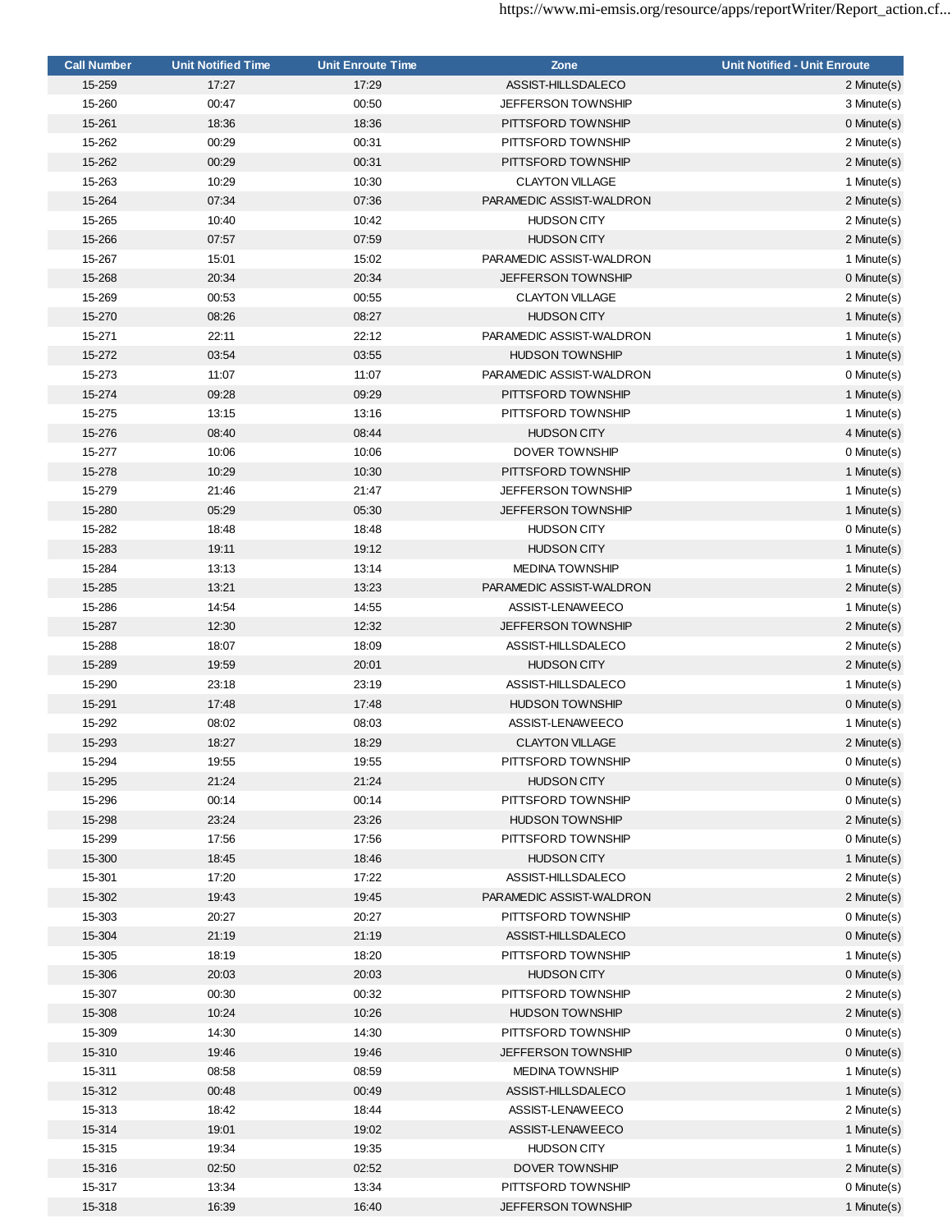| <b>Call Number</b> | <b>Unit Notified Time</b> | <b>Unit Enroute Time</b> | Zone                      | <b>Unit Notified - Unit Enroute</b> |
|--------------------|---------------------------|--------------------------|---------------------------|-------------------------------------|
| 15-259             | 17:27                     | 17:29                    | ASSIST-HILLSDALECO        | 2 Minute(s)                         |
| 15-260             | 00:47                     | 00:50                    | <b>JEFFERSON TOWNSHIP</b> | 3 Minute(s)                         |
| 15-261             | 18:36                     | 18:36                    | PITTSFORD TOWNSHIP        | 0 Minute(s)                         |
| 15-262             | 00:29                     | 00:31                    | PITTSFORD TOWNSHIP        | 2 Minute(s)                         |
| 15-262             | 00:29                     | 00:31                    | PITTSFORD TOWNSHIP        | 2 Minute(s)                         |
| 15-263             | 10:29                     | 10:30                    | <b>CLAYTON VILLAGE</b>    | 1 Minute(s)                         |
| 15-264             | 07:34                     | 07:36                    | PARAMEDIC ASSIST-WALDRON  | 2 Minute(s)                         |
| 15-265             | 10:40                     | 10:42                    | <b>HUDSON CITY</b>        | 2 Minute(s)                         |
| 15-266             | 07:57                     | 07:59                    | <b>HUDSON CITY</b>        | 2 Minute(s)                         |
| 15-267             | 15:01                     | 15:02                    | PARAMEDIC ASSIST-WALDRON  | 1 Minute(s)                         |
| 15-268             | 20:34                     | 20:34                    | <b>JEFFERSON TOWNSHIP</b> | 0 Minute(s)                         |
| 15-269             | 00:53                     | 00:55                    | <b>CLAYTON VILLAGE</b>    | 2 Minute(s)                         |
| 15-270             | 08:26                     | 08:27                    | <b>HUDSON CITY</b>        | 1 Minute(s)                         |
| 15-271             | 22:11                     | 22:12                    | PARAMEDIC ASSIST-WALDRON  | 1 Minute(s)                         |
| 15-272             | 03:54                     | 03:55                    | <b>HUDSON TOWNSHIP</b>    | 1 Minute(s)                         |
| 15-273             | 11:07                     | 11:07                    | PARAMEDIC ASSIST-WALDRON  | 0 Minute(s)                         |
| 15-274             | 09:28                     | 09:29                    | PITTSFORD TOWNSHIP        | 1 Minute(s)                         |
| 15-275             | 13:15                     | 13:16                    | PITTSFORD TOWNSHIP        | 1 Minute(s)                         |
| 15-276             | 08:40                     | 08:44                    | <b>HUDSON CITY</b>        | 4 Minute(s)                         |
|                    |                           |                          |                           |                                     |
| 15-277             | 10:06                     | 10:06                    | <b>DOVER TOWNSHIP</b>     | 0 Minute(s)                         |
| 15-278             | 10:29                     | 10:30                    | PITTSFORD TOWNSHIP        | 1 Minute(s)                         |
| 15-279             | 21:46                     | 21:47                    | <b>JEFFERSON TOWNSHIP</b> | 1 Minute(s)                         |
| 15-280             | 05:29                     | 05:30                    | <b>JEFFERSON TOWNSHIP</b> | 1 Minute(s)                         |
| 15-282             | 18:48                     | 18:48                    | <b>HUDSON CITY</b>        | 0 Minute(s)                         |
| 15-283             | 19:11                     | 19:12                    | <b>HUDSON CITY</b>        | 1 Minute(s)                         |
| 15-284             | 13:13                     | 13:14                    | <b>MEDINA TOWNSHIP</b>    | 1 Minute(s)                         |
| 15-285             | 13:21                     | 13:23                    | PARAMEDIC ASSIST-WALDRON  | 2 Minute(s)                         |
| 15-286             | 14:54                     | 14:55                    | ASSIST-LENAWEECO          | 1 Minute(s)                         |
| 15-287             | 12:30                     | 12:32                    | <b>JEFFERSON TOWNSHIP</b> | 2 Minute(s)                         |
| 15-288             | 18:07                     | 18:09                    | ASSIST-HILLSDALECO        | 2 Minute(s)                         |
| 15-289             | 19:59                     | 20:01                    | <b>HUDSON CITY</b>        | 2 Minute(s)                         |
| 15-290             | 23:18                     | 23:19                    | ASSIST-HILLSDALECO        | 1 Minute(s)                         |
| 15-291             | 17:48                     | 17:48                    | <b>HUDSON TOWNSHIP</b>    | 0 Minute(s)                         |
| 15-292             | 08:02                     | 08:03                    | ASSIST-LENAWEECO          | 1 Minute(s)                         |
| 15-293             | 18:27                     | 18:29                    | <b>CLAYTON VILLAGE</b>    | 2 Minute(s)                         |
| 15-294             | 19:55                     | 19:55                    | PITTSFORD TOWNSHIP        | 0 Minute(s)                         |
| 15-295             | 21:24                     | 21:24                    | <b>HUDSON CITY</b>        | 0 Minute(s)                         |
| 15-296             | 00:14                     | 00:14                    | PITTSFORD TOWNSHIP        | 0 Minute(s)                         |
| 15-298             | 23:24                     | 23:26                    | <b>HUDSON TOWNSHIP</b>    | 2 Minute(s)                         |
| 15-299             | 17:56                     | 17:56                    | PITTSFORD TOWNSHIP        | 0 Minute(s)                         |
| 15-300             | 18:45                     | 18:46                    | <b>HUDSON CITY</b>        | 1 Minute(s)                         |
| 15-301             | 17:20                     | 17:22                    | ASSIST-HILLSDALECO        | 2 Minute(s)                         |
| 15-302             | 19:43                     | 19:45                    | PARAMEDIC ASSIST-WALDRON  | 2 Minute(s)                         |
| 15-303             | 20:27                     | 20:27                    | PITTSFORD TOWNSHIP        | 0 Minute(s)                         |
| 15-304             | 21:19                     | 21:19                    | ASSIST-HILLSDALECO        | 0 Minute(s)                         |
| 15-305             | 18:19                     | 18:20                    | PITTSFORD TOWNSHIP        | 1 Minute(s)                         |
| 15-306             | 20:03                     | 20:03                    | <b>HUDSON CITY</b>        | 0 Minute(s)                         |
| 15-307             | 00:30                     | 00:32                    | PITTSFORD TOWNSHIP        | 2 Minute(s)                         |
| 15-308             | 10:24                     | 10:26                    | <b>HUDSON TOWNSHIP</b>    | 2 Minute(s)                         |
| 15-309             | 14:30                     | 14:30                    | PITTSFORD TOWNSHIP        | 0 Minute(s)                         |
| 15-310             | 19:46                     | 19:46                    | <b>JEFFERSON TOWNSHIP</b> | 0 Minute(s)                         |
| 15-311             | 08:58                     | 08:59                    | <b>MEDINA TOWNSHIP</b>    | 1 Minute(s)                         |
| 15-312             | 00:48                     | 00:49                    | ASSIST-HILLSDALECO        | 1 Minute(s)                         |
| 15-313             | 18:42                     | 18:44                    | ASSIST-LENAWEECO          | 2 Minute(s)                         |
| 15-314             | 19:01                     | 19:02                    | ASSIST-LENAWEECO          | 1 Minute(s)                         |
| 15-315             | 19:34                     | 19:35                    | <b>HUDSON CITY</b>        | 1 Minute(s)                         |
| 15-316             | 02:50                     | 02:52                    | DOVER TOWNSHIP            | 2 Minute(s)                         |
| 15-317             | 13:34                     | 13:34                    | PITTSFORD TOWNSHIP        | 0 Minute(s)                         |
| 15-318             | 16:39                     | 16:40                    | JEFFERSON TOWNSHIP        | 1 Minute(s)                         |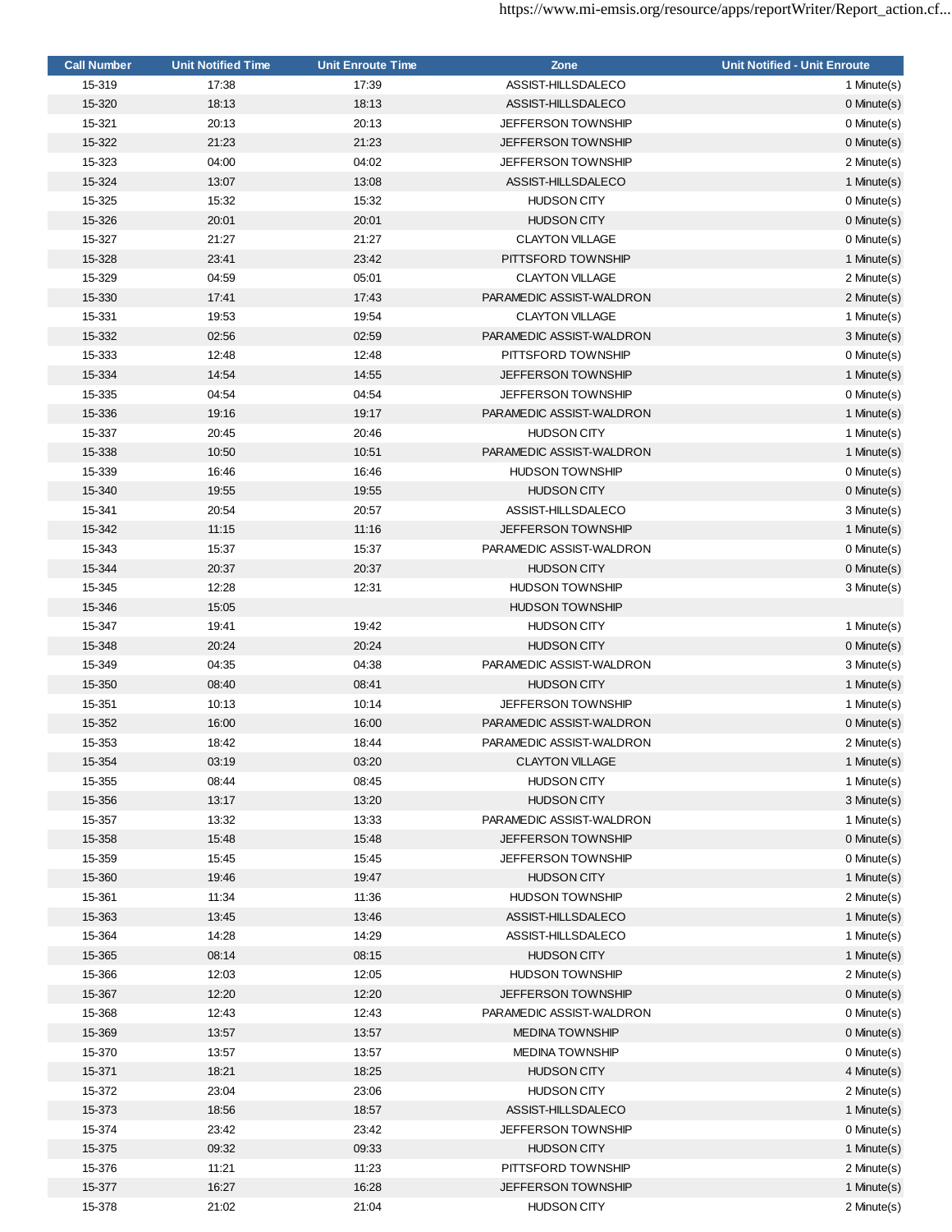| <b>Call Number</b> | <b>Unit Notified Time</b> | <b>Unit Enroute Time</b> | Zone                      | <b>Unit Notified - Unit Enroute</b> |
|--------------------|---------------------------|--------------------------|---------------------------|-------------------------------------|
| 15-319             | 17:38                     | 17:39                    | ASSIST-HILLSDALECO        | 1 Minute(s)                         |
| 15-320             | 18:13                     | 18:13                    | ASSIST-HILLSDALECO        | 0 Minute(s)                         |
| 15-321             | 20:13                     | 20:13                    | <b>JEFFERSON TOWNSHIP</b> | 0 Minute(s)                         |
| 15-322             | 21:23                     | 21:23                    | <b>JEFFERSON TOWNSHIP</b> | 0 Minute(s)                         |
| 15-323             | 04:00                     | 04:02                    | <b>JEFFERSON TOWNSHIP</b> | 2 Minute(s)                         |
| 15-324             | 13:07                     | 13:08                    | ASSIST-HILLSDALECO        | 1 Minute(s)                         |
| 15-325             | 15:32                     | 15:32                    | <b>HUDSON CITY</b>        | 0 Minute(s)                         |
| 15-326             | 20:01                     | 20:01                    | <b>HUDSON CITY</b>        | $0$ Minute $(s)$                    |
| 15-327             | 21:27                     | 21:27                    | <b>CLAYTON VILLAGE</b>    | 0 Minute(s)                         |
| 15-328             | 23:41                     | 23:42                    | PITTSFORD TOWNSHIP        | 1 Minute(s)                         |
|                    |                           |                          |                           |                                     |
| 15-329             | 04:59                     | 05:01                    | <b>CLAYTON VILLAGE</b>    | 2 Minute(s)                         |
| 15-330             | 17:41                     | 17:43                    | PARAMEDIC ASSIST-WALDRON  | 2 Minute(s)                         |
| 15-331             | 19:53                     | 19:54                    | <b>CLAYTON VILLAGE</b>    | 1 Minute(s)                         |
| 15-332             | 02:56                     | 02:59                    | PARAMEDIC ASSIST-WALDRON  | 3 Minute(s)                         |
| 15-333             | 12:48                     | 12:48                    | PITTSFORD TOWNSHIP        | 0 Minute(s)                         |
| 15-334             | 14:54                     | 14:55                    | JEFFERSON TOWNSHIP        | 1 Minute(s)                         |
| 15-335             | 04:54                     | 04:54                    | <b>JEFFERSON TOWNSHIP</b> | 0 Minute(s)                         |
| 15-336             | 19:16                     | 19:17                    | PARAMEDIC ASSIST-WALDRON  | 1 Minute(s)                         |
| 15-337             | 20:45                     | 20:46                    | <b>HUDSON CITY</b>        | 1 Minute(s)                         |
| 15-338             | 10:50                     | 10:51                    | PARAMEDIC ASSIST-WALDRON  | 1 Minute(s)                         |
| 15-339             | 16:46                     | 16:46                    | <b>HUDSON TOWNSHIP</b>    | 0 Minute(s)                         |
| 15-340             | 19:55                     | 19:55                    | <b>HUDSON CITY</b>        | $0$ Minute $(s)$                    |
| 15-341             | 20:54                     | 20:57                    | ASSIST-HILLSDALECO        | 3 Minute(s)                         |
| 15-342             | 11:15                     | 11:16                    | <b>JEFFERSON TOWNSHIP</b> | 1 Minute(s)                         |
| 15-343             | 15:37                     | 15:37                    | PARAMEDIC ASSIST-WALDRON  | 0 Minute(s)                         |
| 15-344             | 20:37                     | 20:37                    | <b>HUDSON CITY</b>        | 0 Minute(s)                         |
| 15-345             | 12:28                     | 12:31                    | <b>HUDSON TOWNSHIP</b>    | 3 Minute(s)                         |
| 15-346             | 15:05                     |                          | <b>HUDSON TOWNSHIP</b>    |                                     |
| 15-347             | 19:41                     | 19:42                    | <b>HUDSON CITY</b>        | 1 Minute(s)                         |
| 15-348             | 20:24                     | 20:24                    |                           |                                     |
|                    |                           |                          | <b>HUDSON CITY</b>        | $0$ Minute $(s)$                    |
| 15-349             | 04:35                     | 04:38                    | PARAMEDIC ASSIST-WALDRON  | 3 Minute(s)                         |
| 15-350             | 08:40                     | 08:41                    | <b>HUDSON CITY</b>        | 1 Minute(s)                         |
| 15-351             | 10:13                     | 10:14                    | <b>JEFFERSON TOWNSHIP</b> | 1 Minute(s)                         |
| 15-352             | 16:00                     | 16:00                    | PARAMEDIC ASSIST-WALDRON  | 0 Minute(s)                         |
| 15-353             | 18:42                     | 18:44                    | PARAMEDIC ASSIST-WALDRON  | 2 Minute(s)                         |
| 15-354             | 03:19                     | 03:20                    | <b>CLAYTON VILLAGE</b>    | 1 Minute(s)                         |
| 15-355             | 08:44                     | 08:45                    | <b>HUDSON CITY</b>        | 1 Minute(s)                         |
| 15-356             | 13:17                     | 13:20                    | <b>HUDSON CITY</b>        | 3 Minute(s)                         |
| 15-357             | 13:32                     | 13:33                    | PARAMEDIC ASSIST-WALDRON  | 1 Minute(s)                         |
| 15-358             | 15:48                     | 15:48                    | JEFFERSON TOWNSHIP        | $0$ Minute $(s)$                    |
| 15-359             | 15:45                     | 15:45                    | <b>JEFFERSON TOWNSHIP</b> | 0 Minute(s)                         |
| 15-360             | 19:46                     | 19:47                    | <b>HUDSON CITY</b>        | 1 Minute(s)                         |
| 15-361             | 11:34                     | 11:36                    | <b>HUDSON TOWNSHIP</b>    | 2 Minute(s)                         |
| 15-363             | 13:45                     | 13:46                    | ASSIST-HILLSDALECO        | 1 Minute(s)                         |
| 15-364             | 14:28                     | 14:29                    | ASSIST-HILLSDALECO        | 1 Minute(s)                         |
| 15-365             | 08:14                     | 08:15                    | <b>HUDSON CITY</b>        | 1 Minute(s)                         |
| 15-366             | 12:03                     | 12:05                    | <b>HUDSON TOWNSHIP</b>    | 2 Minute(s)                         |
| 15-367             | 12:20                     | 12:20                    | <b>JEFFERSON TOWNSHIP</b> | 0 Minute(s)                         |
| 15-368             | 12:43                     | 12:43                    | PARAMEDIC ASSIST-WALDRON  | 0 Minute(s)                         |
| 15-369             | 13:57                     | 13:57                    | <b>MEDINA TOWNSHIP</b>    | 0 Minute(s)                         |
| 15-370             | 13:57                     | 13:57                    | <b>MEDINA TOWNSHIP</b>    | 0 Minute(s)                         |
| 15-371             | 18:21                     | 18:25                    | <b>HUDSON CITY</b>        | 4 Minute(s)                         |
| 15-372             | 23:04                     | 23:06                    | <b>HUDSON CITY</b>        |                                     |
|                    |                           |                          |                           | 2 Minute(s)                         |
| 15-373             | 18:56                     | 18:57                    | ASSIST-HILLSDALECO        | 1 Minute(s)                         |
| 15-374             | 23:42                     | 23:42                    | <b>JEFFERSON TOWNSHIP</b> | 0 Minute(s)                         |
| 15-375             | 09:32                     | 09:33                    | <b>HUDSON CITY</b>        | 1 Minute(s)                         |
| 15-376             | 11:21                     | 11:23                    | PITTSFORD TOWNSHIP        | 2 Minute(s)                         |
| 15-377             | 16:27                     | 16:28                    | JEFFERSON TOWNSHIP        | 1 Minute(s)                         |
| 15-378             | 21:02                     | 21:04                    | <b>HUDSON CITY</b>        | 2 Minute(s)                         |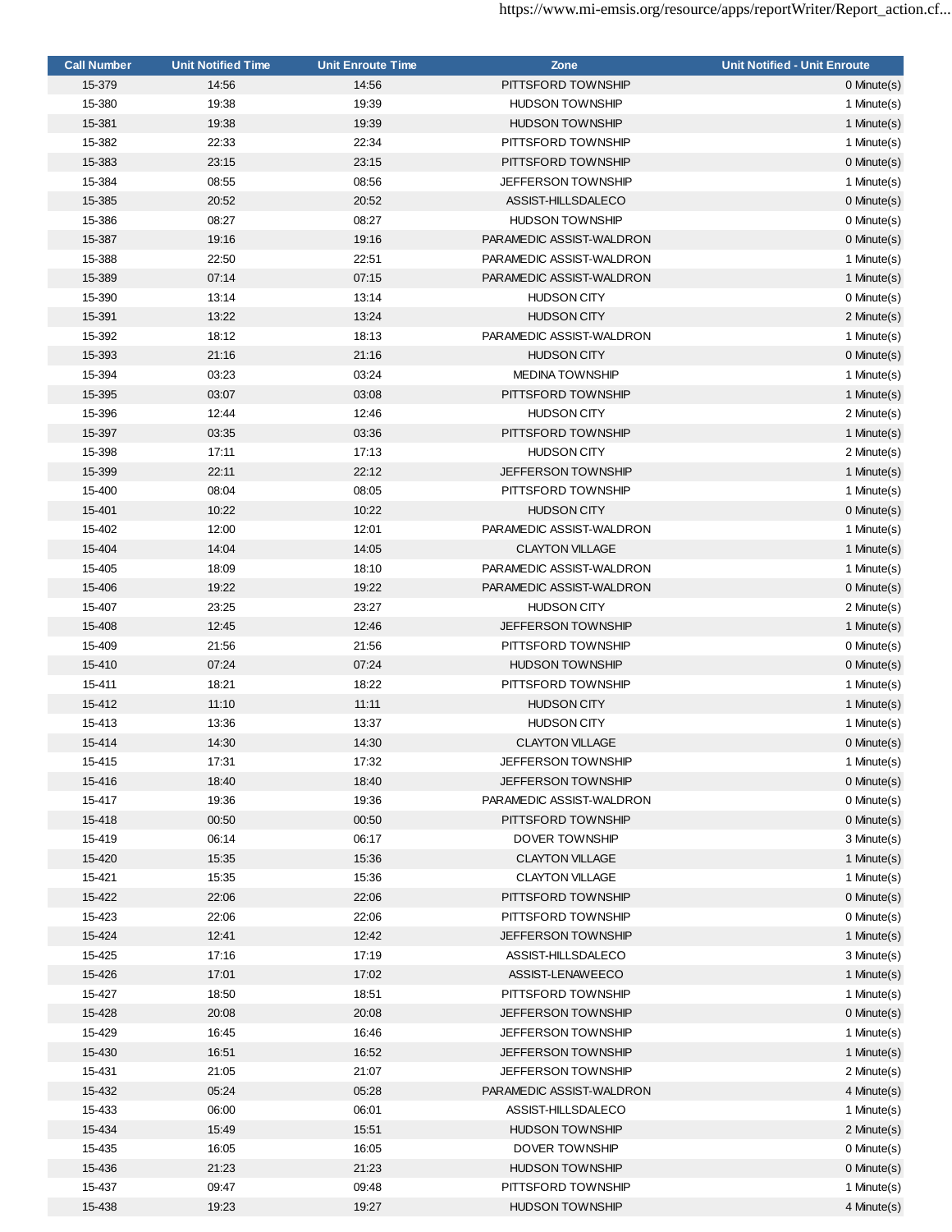| <b>Call Number</b> | <b>Unit Notified Time</b> | <b>Unit Enroute Time</b> | Zone                      | <b>Unit Notified - Unit Enroute</b> |
|--------------------|---------------------------|--------------------------|---------------------------|-------------------------------------|
| 15-379             | 14:56                     | 14:56                    | PITTSFORD TOWNSHIP        | 0 Minute(s)                         |
| 15-380             | 19:38                     | 19:39                    | <b>HUDSON TOWNSHIP</b>    | 1 Minute(s)                         |
| 15-381             | 19:38                     | 19:39                    | <b>HUDSON TOWNSHIP</b>    | 1 Minute(s)                         |
| 15-382             | 22:33                     | 22:34                    | PITTSFORD TOWNSHIP        | 1 Minute(s)                         |
| 15-383             | 23:15                     | 23:15                    | PITTSFORD TOWNSHIP        | 0 Minute(s)                         |
| 15-384             | 08:55                     | 08:56                    | <b>JEFFERSON TOWNSHIP</b> | 1 Minute(s)                         |
| 15-385             | 20:52                     | 20:52                    | ASSIST-HILLSDALECO        | 0 Minute(s)                         |
| 15-386             | 08:27                     | 08:27                    | <b>HUDSON TOWNSHIP</b>    | 0 Minute(s)                         |
| 15-387             | 19:16                     | 19:16                    | PARAMEDIC ASSIST-WALDRON  | 0 Minute(s)                         |
| 15-388             | 22:50                     | 22:51                    | PARAMEDIC ASSIST-WALDRON  | 1 Minute(s)                         |
| 15-389             | 07:14                     | 07:15                    | PARAMEDIC ASSIST-WALDRON  | 1 Minute(s)                         |
| 15-390             | 13:14                     | 13:14                    | <b>HUDSON CITY</b>        | 0 Minute(s)                         |
| 15-391             | 13:22                     | 13:24                    | <b>HUDSON CITY</b>        | 2 Minute(s)                         |
| 15-392             | 18:12                     | 18:13                    | PARAMEDIC ASSIST-WALDRON  | 1 Minute(s)                         |
| 15-393             | 21:16                     | 21:16                    | <b>HUDSON CITY</b>        | 0 Minute(s)                         |
| 15-394             | 03:23                     | 03:24                    | <b>MEDINA TOWNSHIP</b>    | 1 Minute(s)                         |
| 15-395             | 03:07                     | 03:08                    | PITTSFORD TOWNSHIP        | 1 Minute(s)                         |
| 15-396             | 12:44                     | 12:46                    | <b>HUDSON CITY</b>        | 2 Minute(s)                         |
| 15-397             | 03:35                     | 03:36                    | PITTSFORD TOWNSHIP        | 1 Minute(s)                         |
| 15-398             | 17:11                     | 17:13                    | <b>HUDSON CITY</b>        | 2 Minute(s)                         |
| 15-399             | 22:11                     | 22:12                    | <b>JEFFERSON TOWNSHIP</b> | 1 Minute(s)                         |
| 15-400             | 08:04                     | 08:05                    | PITTSFORD TOWNSHIP        | 1 Minute(s)                         |
| 15-401             | 10:22                     | 10:22                    | <b>HUDSON CITY</b>        | $0$ Minute $(s)$                    |
| 15-402             | 12:00                     | 12:01                    | PARAMEDIC ASSIST-WALDRON  | 1 Minute(s)                         |
| 15-404             | 14:04                     | 14:05                    | <b>CLAYTON VILLAGE</b>    | 1 Minute(s)                         |
| 15-405             | 18:09                     | 18:10                    | PARAMEDIC ASSIST-WALDRON  | 1 Minute(s)                         |
| 15-406             | 19:22                     | 19:22                    | PARAMEDIC ASSIST-WALDRON  | 0 Minute(s)                         |
| 15-407             | 23:25                     | 23:27                    | <b>HUDSON CITY</b>        | 2 Minute(s)                         |
| 15-408             | 12:45                     | 12:46                    | <b>JEFFERSON TOWNSHIP</b> | 1 Minute(s)                         |
| 15-409             | 21:56                     | 21:56                    | PITTSFORD TOWNSHIP        | 0 Minute(s)                         |
| 15-410             | 07:24                     | 07:24                    | <b>HUDSON TOWNSHIP</b>    | 0 Minute(s)                         |
| 15-411             | 18:21                     | 18:22                    | PITTSFORD TOWNSHIP        | 1 Minute(s)                         |
| 15-412             | 11:10                     | 11:11                    | <b>HUDSON CITY</b>        | 1 Minute(s)                         |
| 15-413             | 13:36                     | 13:37                    | <b>HUDSON CITY</b>        | 1 Minute(s)                         |
| 15-414             | 14:30                     | 14:30                    | <b>CLAYTON VILLAGE</b>    | 0 Minute(s)                         |
| 15-415             | 17:31                     | 17:32                    | <b>JEFFERSON TOWNSHIP</b> | 1 Minute(s)                         |
| 15-416             | 18:40                     | 18:40                    | <b>JEFFERSON TOWNSHIP</b> | 0 Minute(s)                         |
| 15-417             | 19:36                     | 19:36                    | PARAMEDIC ASSIST-WALDRON  | 0 Minute(s)                         |
| 15-418             | 00:50                     | 00:50                    | PITTSFORD TOWNSHIP        | 0 Minute(s)                         |
| 15-419             | 06:14                     | 06:17                    | DOVER TOWNSHIP            | 3 Minute(s)                         |
| 15-420             | 15:35                     | 15:36                    | <b>CLAYTON VILLAGE</b>    | 1 Minute(s)                         |
| 15-421             | 15:35                     | 15:36                    | <b>CLAYTON VILLAGE</b>    | 1 Minute(s)                         |
| 15-422             | 22:06                     | 22:06                    | PITTSFORD TOWNSHIP        | 0 Minute(s)                         |
| 15-423             | 22:06                     | 22:06                    | PITTSFORD TOWNSHIP        | 0 Minute(s)                         |
| 15-424             | 12:41                     | 12:42                    | <b>JEFFERSON TOWNSHIP</b> | 1 Minute(s)                         |
| 15-425             | 17:16                     | 17:19                    | ASSIST-HILLSDALECO        | 3 Minute(s)                         |
| 15-426             | 17:01                     | 17:02                    | ASSIST-LENAWEECO          | 1 Minute(s)                         |
| 15-427             | 18:50                     | 18:51                    | PITTSFORD TOWNSHIP        | 1 Minute(s)                         |
| 15-428             | 20:08                     | 20:08                    | <b>JEFFERSON TOWNSHIP</b> | 0 Minute(s)                         |
| 15-429             | 16:45                     | 16:46                    | <b>JEFFERSON TOWNSHIP</b> | 1 Minute(s)                         |
| 15-430             | 16:51                     | 16:52                    | <b>JEFFERSON TOWNSHIP</b> | 1 Minute(s)                         |
| 15-431             | 21:05                     | 21:07                    | JEFFERSON TOWNSHIP        | 2 Minute(s)                         |
| 15-432             | 05:24                     | 05:28                    | PARAMEDIC ASSIST-WALDRON  | 4 Minute(s)                         |
| 15-433             | 06:00                     | 06:01                    | ASSIST-HILLSDALECO        | 1 Minute(s)                         |
| 15-434             | 15:49                     | 15:51                    | <b>HUDSON TOWNSHIP</b>    | 2 Minute(s)                         |
| 15-435             | 16:05                     | 16:05                    | DOVER TOWNSHIP            | 0 Minute(s)                         |
| 15-436             | 21:23                     | 21:23                    | <b>HUDSON TOWNSHIP</b>    | 0 Minute(s)                         |
| 15-437             | 09:47                     | 09:48                    | PITTSFORD TOWNSHIP        | 1 Minute(s)                         |
| 15-438             | 19:23                     | 19:27                    | <b>HUDSON TOWNSHIP</b>    | 4 Minute(s)                         |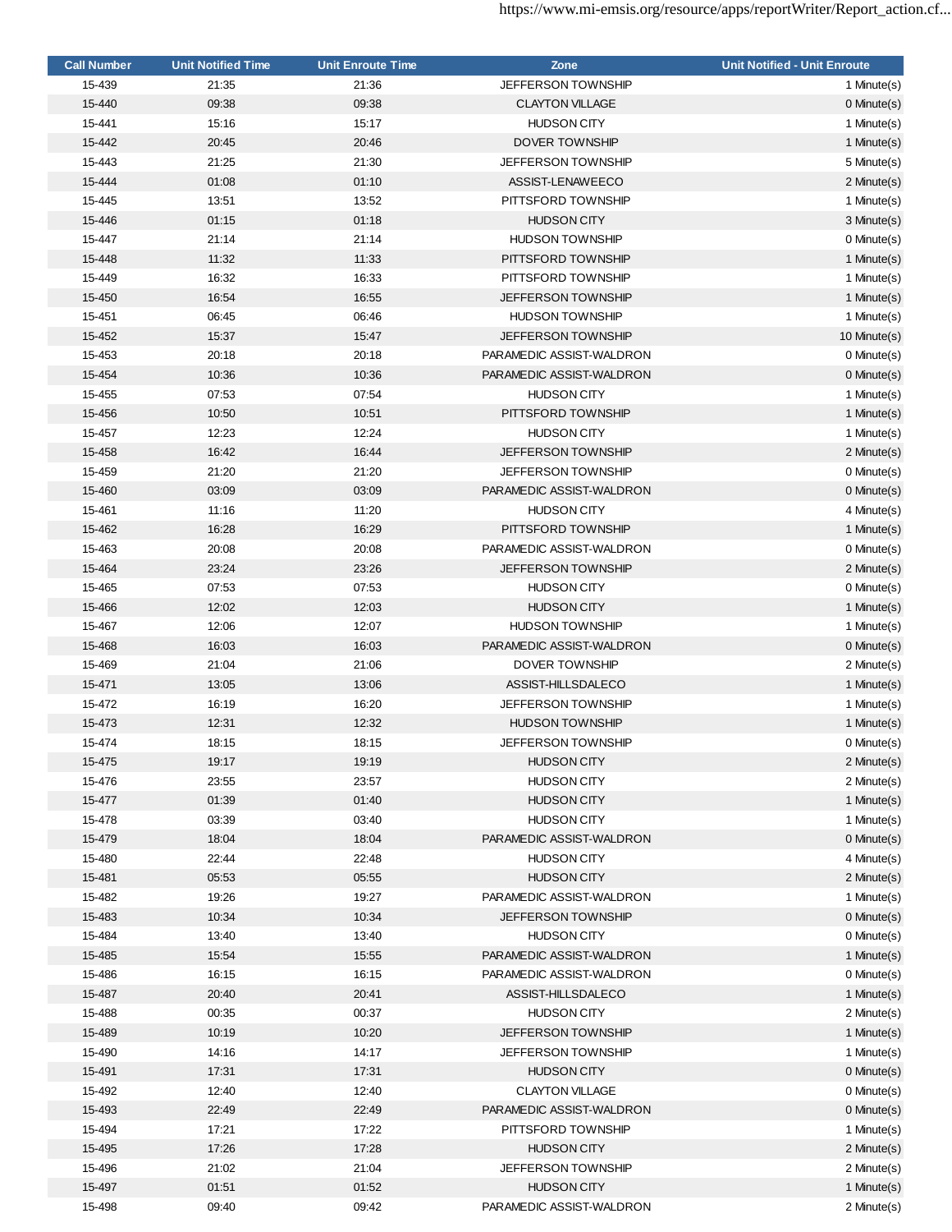| <b>Call Number</b> | <b>Unit Notified Time</b> | <b>Unit Enroute Time</b> | Zone                      | <b>Unit Notified - Unit Enroute</b> |
|--------------------|---------------------------|--------------------------|---------------------------|-------------------------------------|
| 15-439             | 21:35                     | 21:36                    | JEFFERSON TOWNSHIP        | 1 Minute(s)                         |
| 15-440             | 09:38                     | 09:38                    | <b>CLAYTON VILLAGE</b>    | $0$ Minute $(s)$                    |
| 15-441             | 15:16                     | 15:17                    | <b>HUDSON CITY</b>        | 1 Minute(s)                         |
| 15-442             | 20:45                     | 20:46                    | <b>DOVER TOWNSHIP</b>     | 1 Minute(s)                         |
| 15-443             | 21:25                     | 21:30                    | <b>JEFFERSON TOWNSHIP</b> | 5 Minute(s)                         |
| 15-444             | 01:08                     | 01:10                    | ASSIST-LENAWEECO          | 2 Minute(s)                         |
| 15-445             | 13:51                     | 13:52                    | PITTSFORD TOWNSHIP        | 1 Minute(s)                         |
| 15-446             | 01:15                     | 01:18                    | <b>HUDSON CITY</b>        | 3 Minute(s)                         |
| 15-447             | 21:14                     | 21:14                    | <b>HUDSON TOWNSHIP</b>    | 0 Minute(s)                         |
| 15-448             | 11:32                     | 11:33                    | PITTSFORD TOWNSHIP        | 1 Minute(s)                         |
| 15-449             | 16:32                     | 16:33                    | PITTSFORD TOWNSHIP        | 1 Minute(s)                         |
| 15-450             | 16:54                     | 16:55                    | <b>JEFFERSON TOWNSHIP</b> | 1 Minute(s)                         |
| 15-451             | 06:45                     | 06:46                    | <b>HUDSON TOWNSHIP</b>    | 1 Minute(s)                         |
| 15-452             | 15:37                     | 15:47                    | JEFFERSON TOWNSHIP        | 10 Minute(s)                        |
| 15-453             | 20:18                     | 20:18                    | PARAMEDIC ASSIST-WALDRON  | 0 Minute(s)                         |
| 15-454             | 10:36                     | 10:36                    | PARAMEDIC ASSIST-WALDRON  | 0 Minute(s)                         |
| 15-455             | 07:53                     | 07:54                    | <b>HUDSON CITY</b>        | 1 Minute(s)                         |
| 15-456             | 10:50                     | 10:51                    | PITTSFORD TOWNSHIP        | 1 Minute(s)                         |
| 15-457             | 12:23                     | 12:24                    | <b>HUDSON CITY</b>        | 1 Minute(s)                         |
| 15-458             | 16:42                     | 16:44                    | <b>JEFFERSON TOWNSHIP</b> | 2 Minute(s)                         |
| 15-459             | 21:20                     | 21:20                    | JEFFERSON TOWNSHIP        | 0 Minute(s)                         |
| 15-460             | 03:09                     | 03:09                    | PARAMEDIC ASSIST-WALDRON  | 0 Minute(s)                         |
| 15-461             | 11:16                     | 11:20                    | <b>HUDSON CITY</b>        |                                     |
|                    |                           |                          | PITTSFORD TOWNSHIP        | 4 Minute(s)                         |
| 15-462             | 16:28                     | 16:29                    |                           | 1 Minute(s)                         |
| 15-463             | 20:08                     | 20:08                    | PARAMEDIC ASSIST-WALDRON  | 0 Minute(s)                         |
| 15-464             | 23:24                     | 23:26                    | <b>JEFFERSON TOWNSHIP</b> | 2 Minute(s)                         |
| 15-465             | 07:53                     | 07:53                    | <b>HUDSON CITY</b>        | 0 Minute(s)                         |
| 15-466             | 12:02                     | 12:03                    | <b>HUDSON CITY</b>        | 1 Minute(s)                         |
| 15-467             | 12:06                     | 12:07                    | <b>HUDSON TOWNSHIP</b>    | 1 Minute(s)                         |
| 15-468             | 16:03                     | 16:03                    | PARAMEDIC ASSIST-WALDRON  | $0$ Minute $(s)$                    |
| 15-469             | 21:04                     | 21:06                    | DOVER TOWNSHIP            | 2 Minute(s)                         |
| 15-471             | 13:05                     | 13:06                    | ASSIST-HILLSDALECO        | 1 Minute(s)                         |
| 15-472             | 16:19                     | 16:20                    | <b>JEFFERSON TOWNSHIP</b> | 1 Minute(s)                         |
| 15-473             | 12:31                     | 12:32                    | <b>HUDSON TOWNSHIP</b>    | 1 Minute(s)                         |
| 15-474             | 18:15                     | 18:15                    | <b>JEFFERSON TOWNSHIP</b> | 0 Minute(s)                         |
| 15-475             | 19:17                     | 19:19                    | <b>HUDSON CITY</b>        | 2 Minute(s)                         |
| 15-476             | 23:55                     | 23:57                    | <b>HUDSON CITY</b>        | 2 Minute(s)                         |
| 15-477             | 01:39                     | 01:40                    | <b>HUDSON CITY</b>        | 1 Minute(s)                         |
| 15-478             | 03:39                     | 03:40                    | <b>HUDSON CITY</b>        | 1 Minute(s)                         |
| 15-479             | 18:04                     | 18:04                    | PARAMEDIC ASSIST-WALDRON  | 0 Minute(s)                         |
| 15-480             | 22:44                     | 22:48                    | <b>HUDSON CITY</b>        | 4 Minute(s)                         |
| 15-481             | 05:53                     | 05:55                    | <b>HUDSON CITY</b>        | 2 Minute(s)                         |
| 15-482             | 19:26                     | 19:27                    | PARAMEDIC ASSIST-WALDRON  | 1 Minute(s)                         |
| 15-483             | 10:34                     | 10:34                    | <b>JEFFERSON TOWNSHIP</b> | 0 Minute(s)                         |
| 15-484             | 13:40                     | 13:40                    | <b>HUDSON CITY</b>        | 0 Minute(s)                         |
| 15-485             | 15:54                     | 15:55                    | PARAMEDIC ASSIST-WALDRON  | 1 Minute(s)                         |
| 15-486             | 16:15                     | 16:15                    | PARAMEDIC ASSIST-WALDRON  | 0 Minute(s)                         |
| 15-487             | 20:40                     | 20:41                    | ASSIST-HILLSDALECO        | 1 Minute(s)                         |
| 15-488             | 00:35                     | 00:37                    | <b>HUDSON CITY</b>        | 2 Minute(s)                         |
| 15-489             | 10:19                     | 10:20                    | <b>JEFFERSON TOWNSHIP</b> | 1 Minute(s)                         |
| 15-490             | 14:16                     | 14:17                    | <b>JEFFERSON TOWNSHIP</b> | 1 Minute(s)                         |
| 15-491             | 17:31                     | 17:31                    | <b>HUDSON CITY</b>        | 0 Minute(s)                         |
| 15-492             | 12:40                     | 12:40                    | <b>CLAYTON VILLAGE</b>    | 0 Minute(s)                         |
| 15-493             | 22:49                     | 22:49                    | PARAMEDIC ASSIST-WALDRON  | 0 Minute(s)                         |
| 15-494             | 17:21                     | 17:22                    | PITTSFORD TOWNSHIP        | 1 Minute(s)                         |
| 15-495             | 17:26                     | 17:28                    | <b>HUDSON CITY</b>        | 2 Minute(s)                         |
| 15-496             | 21:02                     | 21:04                    | <b>JEFFERSON TOWNSHIP</b> | 2 Minute(s)                         |
| 15-497             | 01:51                     | 01:52                    | <b>HUDSON CITY</b>        | 1 Minute(s)                         |
| 15-498             | 09:40                     | 09:42                    | PARAMEDIC ASSIST-WALDRON  | 2 Minute(s)                         |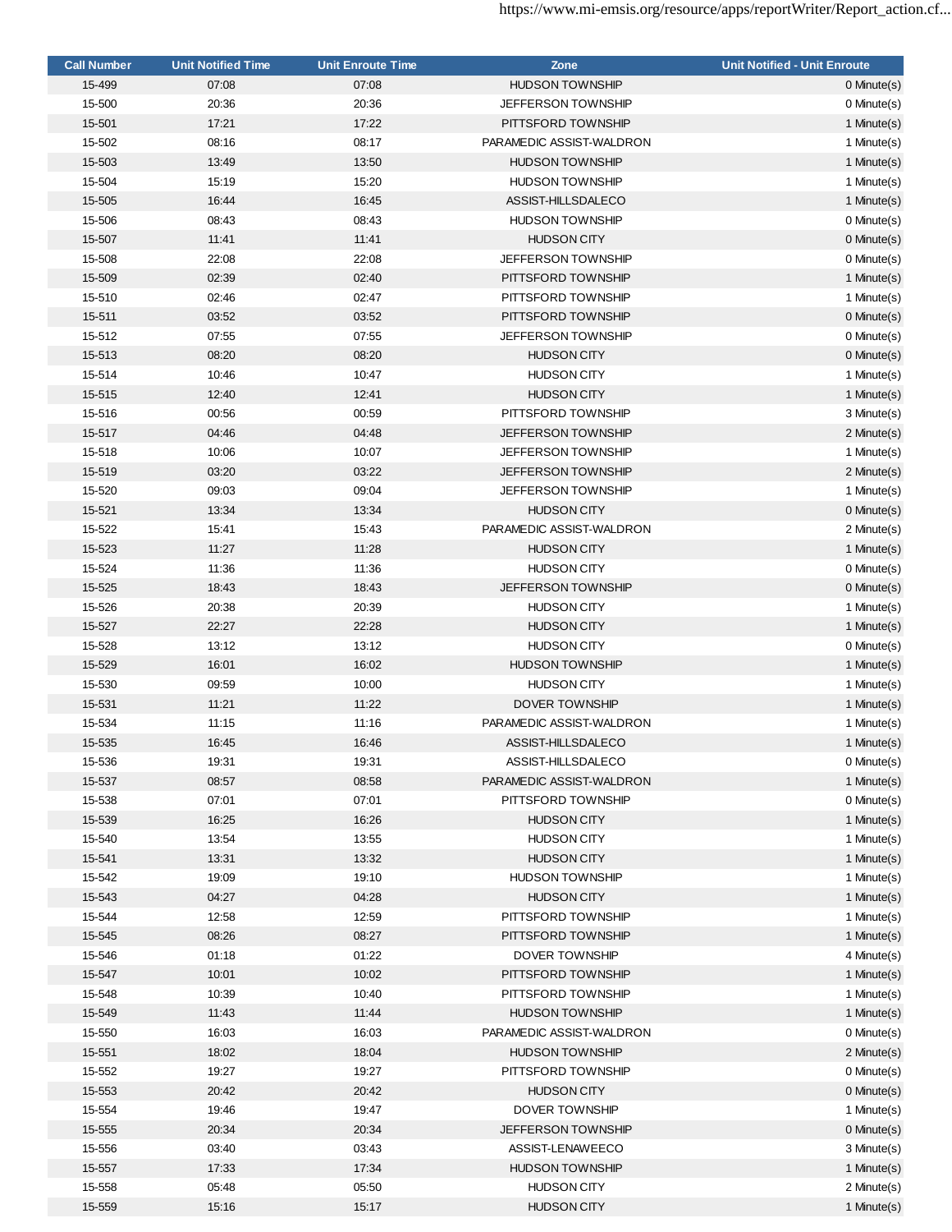| <b>Call Number</b> | <b>Unit Notified Time</b> | <b>Unit Enroute Time</b> | Zone                      | <b>Unit Notified - Unit Enroute</b> |
|--------------------|---------------------------|--------------------------|---------------------------|-------------------------------------|
| 15-499             | 07:08                     | 07:08                    | <b>HUDSON TOWNSHIP</b>    | $0$ Minute $(s)$                    |
| 15-500             | 20:36                     | 20:36                    | <b>JEFFERSON TOWNSHIP</b> | 0 Minute(s)                         |
| 15-501             | 17:21                     | 17:22                    | PITTSFORD TOWNSHIP        | 1 Minute(s)                         |
| 15-502             | 08:16                     | 08:17                    | PARAMEDIC ASSIST-WALDRON  | 1 Minute(s)                         |
| 15-503             | 13:49                     | 13:50                    | <b>HUDSON TOWNSHIP</b>    | 1 Minute(s)                         |
| 15-504             | 15:19                     | 15:20                    | <b>HUDSON TOWNSHIP</b>    | 1 Minute(s)                         |
| 15-505             | 16:44                     | 16:45                    | ASSIST-HILLSDALECO        | 1 Minute(s)                         |
| 15-506             | 08:43                     | 08:43                    | <b>HUDSON TOWNSHIP</b>    | 0 Minute(s)                         |
| 15-507             | 11:41                     | 11:41                    | <b>HUDSON CITY</b>        | $0$ Minute $(s)$                    |
| 15-508             | 22:08                     | 22:08                    | <b>JEFFERSON TOWNSHIP</b> | 0 Minute(s)                         |
| 15-509             | 02:39                     | 02:40                    | PITTSFORD TOWNSHIP        | 1 Minute(s)                         |
| 15-510             | 02:46                     | 02:47                    | PITTSFORD TOWNSHIP        | 1 Minute(s)                         |
| 15-511             | 03:52                     | 03:52                    | PITTSFORD TOWNSHIP        | $0$ Minute $(s)$                    |
| 15-512             | 07:55                     | 07:55                    | <b>JEFFERSON TOWNSHIP</b> | 0 Minute(s)                         |
| 15-513             | 08:20                     | 08:20                    | <b>HUDSON CITY</b>        | 0 Minute(s)                         |
| 15-514             | 10:46                     | 10:47                    | <b>HUDSON CITY</b>        | 1 Minute(s)                         |
| 15-515             | 12:40                     | 12:41                    | <b>HUDSON CITY</b>        | 1 Minute(s)                         |
| 15-516             | 00:56                     | 00:59                    | PITTSFORD TOWNSHIP        | 3 Minute(s)                         |
|                    |                           |                          |                           |                                     |
| 15-517             | 04:46                     | 04:48                    | <b>JEFFERSON TOWNSHIP</b> | 2 Minute(s)                         |
| 15-518             | 10:06                     | 10:07                    | <b>JEFFERSON TOWNSHIP</b> | 1 Minute(s)                         |
| 15-519             | 03:20                     | 03:22                    | <b>JEFFERSON TOWNSHIP</b> | 2 Minute(s)                         |
| 15-520             | 09:03                     | 09:04                    | <b>JEFFERSON TOWNSHIP</b> | 1 Minute(s)                         |
| 15-521             | 13:34                     | 13:34                    | <b>HUDSON CITY</b>        | 0 Minute(s)                         |
| 15-522             | 15:41                     | 15:43                    | PARAMEDIC ASSIST-WALDRON  | 2 Minute(s)                         |
| 15-523             | 11:27                     | 11:28                    | <b>HUDSON CITY</b>        | 1 Minute(s)                         |
| 15-524             | 11:36                     | 11:36                    | <b>HUDSON CITY</b>        | 0 Minute(s)                         |
| 15-525             | 18:43                     | 18:43                    | <b>JEFFERSON TOWNSHIP</b> | 0 Minute(s)                         |
| 15-526             | 20:38                     | 20:39                    | <b>HUDSON CITY</b>        | 1 Minute(s)                         |
| 15-527             | 22:27                     | 22:28                    | <b>HUDSON CITY</b>        | 1 Minute(s)                         |
| 15-528             | 13:12                     | 13:12                    | <b>HUDSON CITY</b>        | 0 Minute(s)                         |
| 15-529             | 16:01                     | 16:02                    | <b>HUDSON TOWNSHIP</b>    | 1 Minute(s)                         |
| 15-530             | 09:59                     | 10:00                    | <b>HUDSON CITY</b>        | 1 Minute(s)                         |
| 15-531             | 11:21                     | 11:22                    | DOVER TOWNSHIP            | 1 Minute(s)                         |
| 15-534             | 11:15                     | 11:16                    | PARAMEDIC ASSIST-WALDRON  | 1 Minute(s)                         |
| 15-535             | 16:45                     | 16:46                    | ASSIST-HILLSDALECO        | 1 Minute(s)                         |
| 15-536             | 19:31                     | 19:31                    | ASSIST-HILLSDALECO        | 0 Minute(s)                         |
| 15-537             | 08:57                     | 08:58                    | PARAMEDIC ASSIST-WALDRON  | 1 Minute(s)                         |
| 15-538             | 07:01                     | 07:01                    | PITTSFORD TOWNSHIP        | 0 Minute(s)                         |
| 15-539             | 16:25                     | 16:26                    | <b>HUDSON CITY</b>        | 1 Minute(s)                         |
| 15-540             | 13:54                     | 13:55                    | <b>HUDSON CITY</b>        | 1 Minute(s)                         |
| 15-541             | 13:31                     | 13:32                    | <b>HUDSON CITY</b>        | 1 Minute(s)                         |
| 15-542             | 19:09                     | 19:10                    | <b>HUDSON TOWNSHIP</b>    | 1 Minute(s)                         |
| 15-543             | 04:27                     | 04:28                    | <b>HUDSON CITY</b>        | 1 Minute(s)                         |
| 15-544             | 12:58                     | 12:59                    | PITTSFORD TOWNSHIP        | 1 Minute(s)                         |
| 15-545             | 08:26                     | 08:27                    | PITTSFORD TOWNSHIP        | 1 Minute(s)                         |
| 15-546             | 01:18                     | 01:22                    | <b>DOVER TOWNSHIP</b>     | 4 Minute(s)                         |
| 15-547             | 10:01                     | 10:02                    | PITTSFORD TOWNSHIP        | 1 Minute(s)                         |
| 15-548             | 10:39                     | 10:40                    | PITTSFORD TOWNSHIP        | 1 Minute(s)                         |
| 15-549             | 11:43                     | 11:44                    | <b>HUDSON TOWNSHIP</b>    | 1 Minute(s)                         |
| 15-550             | 16:03                     | 16:03                    | PARAMEDIC ASSIST-WALDRON  | 0 Minute(s)                         |
| 15-551             | 18:02                     | 18:04                    | <b>HUDSON TOWNSHIP</b>    | 2 Minute(s)                         |
| 15-552             | 19:27                     | 19:27                    | PITTSFORD TOWNSHIP        | 0 Minute(s)                         |
| 15-553             | 20:42                     | 20:42                    | <b>HUDSON CITY</b>        | 0 Minute(s)                         |
| 15-554             | 19:46                     | 19:47                    | DOVER TOWNSHIP            | 1 Minute(s)                         |
| 15-555             | 20:34                     | 20:34                    | <b>JEFFERSON TOWNSHIP</b> | 0 Minute(s)                         |
| 15-556             | 03:40                     | 03:43                    | ASSIST-LENAWEECO          | 3 Minute(s)                         |
| 15-557             | 17:33                     | 17:34                    | <b>HUDSON TOWNSHIP</b>    | 1 Minute(s)                         |
| 15-558             | 05:48                     | 05:50                    | <b>HUDSON CITY</b>        | 2 Minute(s)                         |
| 15-559             | 15:16                     | 15:17                    | <b>HUDSON CITY</b>        | 1 Minute(s)                         |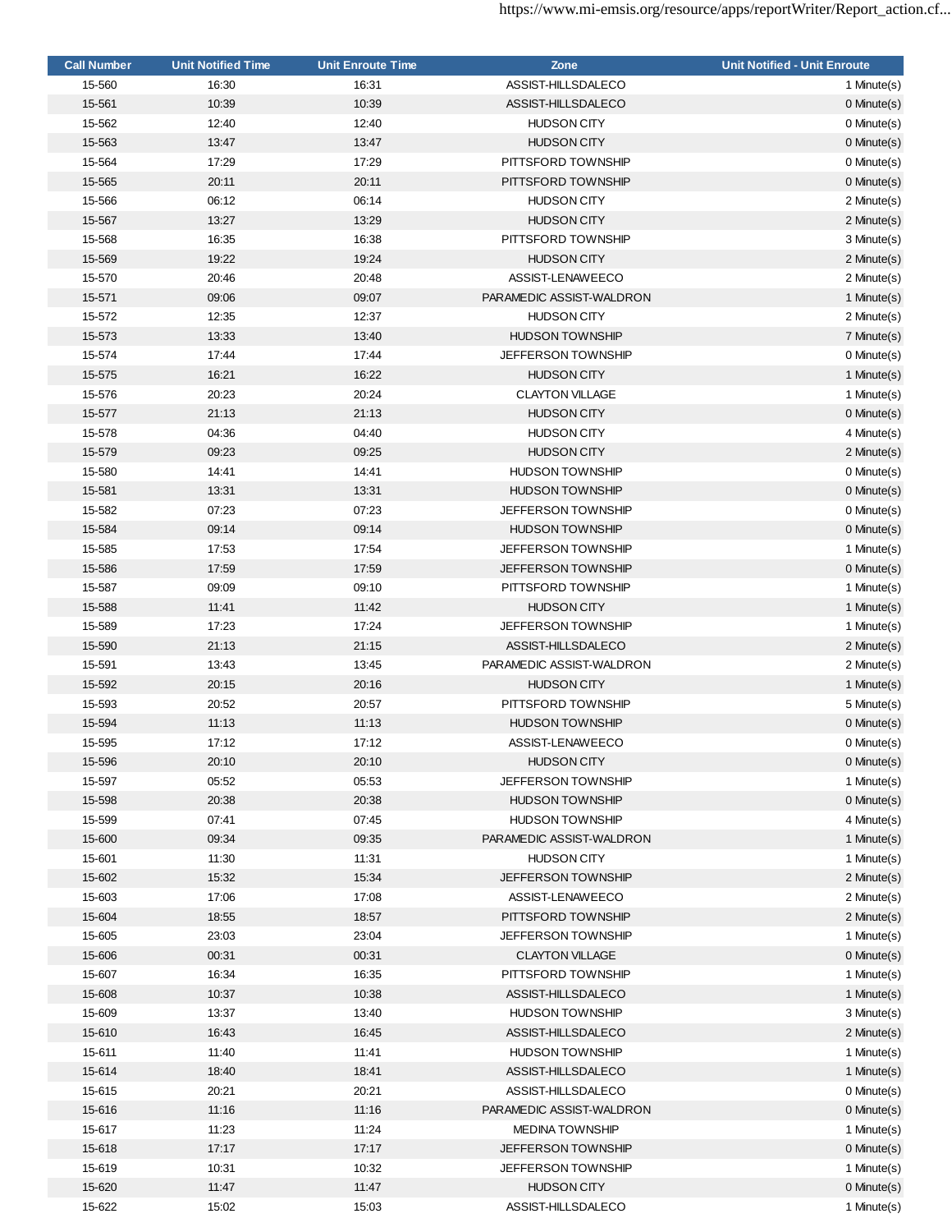| <b>Call Number</b> | <b>Unit Notified Time</b> | <b>Unit Enroute Time</b> | Zone                      | <b>Unit Notified - Unit Enroute</b> |
|--------------------|---------------------------|--------------------------|---------------------------|-------------------------------------|
| 15-560             | 16:30                     | 16:31                    | ASSIST-HILLSDALECO        | 1 Minute(s)                         |
| 15-561             | 10:39                     | 10:39                    | ASSIST-HILLSDALECO        | 0 Minute(s)                         |
| 15-562             | 12:40                     | 12:40                    | <b>HUDSON CITY</b>        | 0 Minute(s)                         |
| 15-563             | 13:47                     | 13:47                    | <b>HUDSON CITY</b>        | 0 Minute(s)                         |
| 15-564             | 17:29                     | 17:29                    | PITTSFORD TOWNSHIP        | 0 Minute(s)                         |
| 15-565             | 20:11                     | 20:11                    | PITTSFORD TOWNSHIP        | 0 Minute(s)                         |
| 15-566             | 06:12                     | 06:14                    | <b>HUDSON CITY</b>        | 2 Minute(s)                         |
| 15-567             | 13:27                     | 13:29                    | <b>HUDSON CITY</b>        | 2 Minute(s)                         |
| 15-568             | 16:35                     | 16:38                    | PITTSFORD TOWNSHIP        | 3 Minute(s)                         |
| 15-569             | 19:22                     | 19:24                    | <b>HUDSON CITY</b>        | 2 Minute(s)                         |
| 15-570             | 20:46                     | 20:48                    | ASSIST-LENAWEECO          | 2 Minute(s)                         |
| 15-571             | 09:06                     | 09:07                    | PARAMEDIC ASSIST-WALDRON  | 1 Minute(s)                         |
| 15-572             | 12:35                     | 12:37                    | <b>HUDSON CITY</b>        | 2 Minute(s)                         |
| 15-573             | 13:33                     | 13:40                    | <b>HUDSON TOWNSHIP</b>    | 7 Minute(s)                         |
| 15-574             | 17:44                     | 17:44                    | <b>JEFFERSON TOWNSHIP</b> | 0 Minute(s)                         |
| 15-575             | 16:21                     | 16:22                    | <b>HUDSON CITY</b>        | 1 Minute(s)                         |
| 15-576             | 20:23                     | 20:24                    | <b>CLAYTON VILLAGE</b>    | 1 Minute(s)                         |
| 15-577             | 21:13                     | 21:13                    | <b>HUDSON CITY</b>        | 0 Minute(s)                         |
| 15-578             | 04:36                     | 04:40                    | <b>HUDSON CITY</b>        | 4 Minute(s)                         |
| 15-579             | 09:23                     | 09:25                    | <b>HUDSON CITY</b>        | 2 Minute(s)                         |
| 15-580             | 14:41                     | 14:41                    | <b>HUDSON TOWNSHIP</b>    | 0 Minute(s)                         |
| 15-581             | 13:31                     | 13:31                    | <b>HUDSON TOWNSHIP</b>    | 0 Minute(s)                         |
| 15-582             | 07:23                     | 07:23                    | <b>JEFFERSON TOWNSHIP</b> | 0 Minute(s)                         |
| 15-584             | 09:14                     | 09:14                    | <b>HUDSON TOWNSHIP</b>    |                                     |
| 15-585             | 17:53                     | 17:54                    | <b>JEFFERSON TOWNSHIP</b> | 0 Minute(s)<br>1 Minute(s)          |
|                    | 17:59                     |                          | <b>JEFFERSON TOWNSHIP</b> |                                     |
| 15-586             | 09:09                     | 17:59<br>09:10           | PITTSFORD TOWNSHIP        | 0 Minute(s)<br>1 Minute(s)          |
| 15-587             |                           |                          | <b>HUDSON CITY</b>        |                                     |
| 15-588             | 11:41                     | 11:42<br>17:24           | <b>JEFFERSON TOWNSHIP</b> | 1 Minute(s)                         |
| 15-589             | 17:23                     |                          |                           | 1 Minute(s)                         |
| 15-590             | 21:13                     | 21:15                    | ASSIST-HILLSDALECO        | 2 Minute(s)                         |
| 15-591             | 13:43                     | 13:45                    | PARAMEDIC ASSIST-WALDRON  | 2 Minute(s)                         |
| 15-592             | 20:15                     | 20:16                    | <b>HUDSON CITY</b>        | 1 Minute(s)                         |
| 15-593             | 20:52                     | 20:57                    | PITTSFORD TOWNSHIP        | 5 Minute(s)                         |
| 15-594             | 11:13                     | 11:13                    | <b>HUDSON TOWNSHIP</b>    | 0 Minute(s)                         |
| 15-595             | 17:12                     | 17:12                    | ASSIST-LENAWEECO          | 0 Minute(s)                         |
| 15-596             | 20:10                     | 20:10                    | <b>HUDSON CITY</b>        | $0$ Minute $(s)$                    |
| 15-597             | 05:52                     | 05:53                    | JEFFERSON TOWNSHIP        | 1 Minute(s)                         |
| 15-598             | 20:38                     | 20:38                    | <b>HUDSON TOWNSHIP</b>    | 0 Minute(s)                         |
| 15-599             | 07:41                     | 07:45                    | <b>HUDSON TOWNSHIP</b>    | 4 Minute(s)                         |
| 15-600             | 09:34                     | 09:35                    | PARAMEDIC ASSIST-WALDRON  | 1 Minute(s)                         |
| 15-601             | 11:30                     | 11:31                    | <b>HUDSON CITY</b>        | 1 Minute(s)                         |
| 15-602             | 15:32                     | 15:34                    | JEFFERSON TOWNSHIP        | 2 Minute(s)                         |
| 15-603             | 17:06                     | 17:08                    | ASSIST-LENAWEECO          | 2 Minute(s)                         |
| 15-604             | 18:55                     | 18:57                    | PITTSFORD TOWNSHIP        | 2 Minute(s)                         |
| 15-605             | 23:03                     | 23:04                    | <b>JEFFERSON TOWNSHIP</b> | 1 Minute(s)                         |
| 15-606             | 00:31                     | 00:31                    | <b>CLAYTON VILLAGE</b>    | 0 Minute(s)                         |
| 15-607             | 16:34                     | 16:35                    | PITTSFORD TOWNSHIP        | 1 Minute(s)                         |
| 15-608             | 10:37                     | 10:38                    | ASSIST-HILLSDALECO        | 1 Minute(s)                         |
| 15-609             | 13:37                     | 13:40                    | <b>HUDSON TOWNSHIP</b>    | 3 Minute(s)                         |
| 15-610             | 16:43                     | 16:45                    | ASSIST-HILLSDALECO        | 2 Minute(s)                         |
| 15-611             | 11:40                     | 11:41                    | <b>HUDSON TOWNSHIP</b>    | 1 Minute(s)                         |
| 15-614             | 18:40                     | 18:41                    | ASSIST-HILLSDALECO        | 1 Minute(s)                         |
| 15-615             | 20:21                     | 20:21                    | ASSIST-HILLSDALECO        | 0 Minute(s)                         |
| 15-616             | 11:16                     | 11:16                    | PARAMEDIC ASSIST-WALDRON  | 0 Minute(s)                         |
| 15-617             | 11:23                     | 11:24                    | <b>MEDINA TOWNSHIP</b>    | 1 Minute(s)                         |
| 15-618             | 17:17                     | 17:17                    | <b>JEFFERSON TOWNSHIP</b> | 0 Minute(s)                         |
| 15-619             | 10:31                     | 10:32                    | <b>JEFFERSON TOWNSHIP</b> | 1 Minute(s)                         |
| 15-620             | 11:47                     | 11:47                    | <b>HUDSON CITY</b>        | 0 Minute(s)                         |
| 15-622             | 15:02                     | 15:03                    | ASSIST-HILLSDALECO        | 1 Minute(s)                         |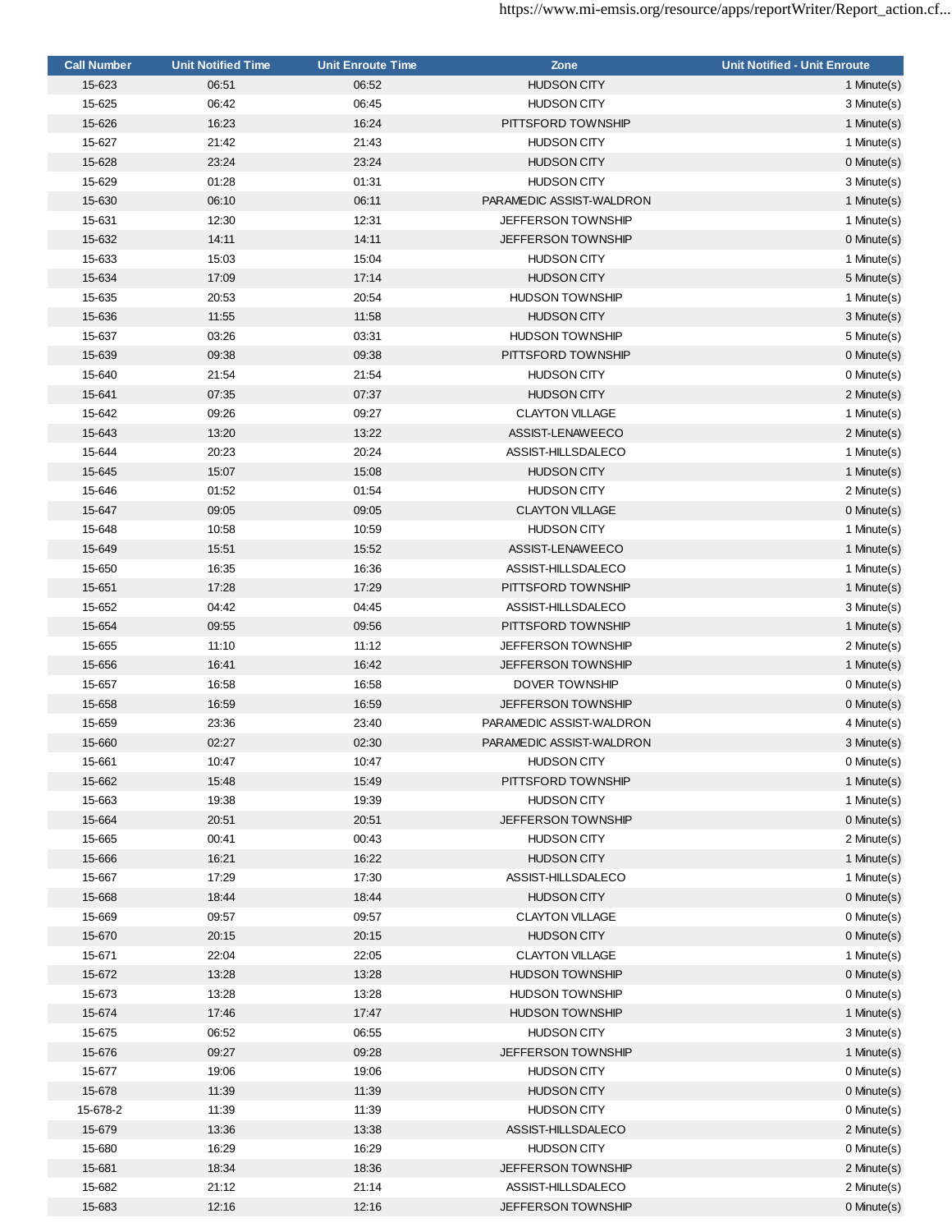| <b>Call Number</b> | <b>Unit Notified Time</b> | <b>Unit Enroute Time</b> | Zone                      | <b>Unit Notified - Unit Enroute</b> |
|--------------------|---------------------------|--------------------------|---------------------------|-------------------------------------|
| 15-623             | 06:51                     | 06:52                    | <b>HUDSON CITY</b>        | 1 Minute(s)                         |
| 15-625             | 06:42                     | 06:45                    | <b>HUDSON CITY</b>        | 3 Minute(s)                         |
| 15-626             | 16:23                     | 16:24                    | PITTSFORD TOWNSHIP        | 1 Minute(s)                         |
| 15-627             | 21:42                     | 21:43                    | <b>HUDSON CITY</b>        | 1 Minute(s)                         |
| 15-628             | 23:24                     | 23:24                    | <b>HUDSON CITY</b>        | 0 Minute(s)                         |
| 15-629             | 01:28                     | 01:31                    | <b>HUDSON CITY</b>        | 3 Minute(s)                         |
| 15-630             | 06:10                     | 06:11                    | PARAMEDIC ASSIST-WALDRON  | 1 Minute(s)                         |
| 15-631             | 12:30                     | 12:31                    | <b>JEFFERSON TOWNSHIP</b> | 1 Minute(s)                         |
| 15-632             | 14:11                     | 14:11                    | <b>JEFFERSON TOWNSHIP</b> | 0 Minute(s)                         |
| 15-633             | 15:03                     | 15:04                    | <b>HUDSON CITY</b>        | 1 Minute(s)                         |
| 15-634             | 17:09                     | 17:14                    | <b>HUDSON CITY</b>        | 5 Minute(s)                         |
| 15-635             | 20:53                     | 20:54                    | <b>HUDSON TOWNSHIP</b>    | 1 Minute(s)                         |
| 15-636             | 11:55                     | 11:58                    | <b>HUDSON CITY</b>        | 3 Minute(s)                         |
| 15-637             | 03:26                     | 03:31                    | <b>HUDSON TOWNSHIP</b>    | 5 Minute(s)                         |
| 15-639             | 09:38                     | 09:38                    | PITTSFORD TOWNSHIP        | $0$ Minute $(s)$                    |
| 15-640             | 21:54                     | 21:54                    | <b>HUDSON CITY</b>        | 0 Minute(s)                         |
| 15-641             | 07:35                     | 07:37                    | <b>HUDSON CITY</b>        | 2 Minute(s)                         |
| 15-642             | 09:26                     | 09:27                    | <b>CLAYTON VILLAGE</b>    | 1 Minute(s)                         |
| 15-643             | 13:20                     | 13:22                    | ASSIST-LENAWEECO          | 2 Minute(s)                         |
|                    |                           | 20:24                    |                           |                                     |
| 15-644             | 20:23                     |                          | ASSIST-HILLSDALECO        | 1 Minute(s)                         |
| 15-645             | 15:07                     | 15:08                    | <b>HUDSON CITY</b>        | 1 Minute(s)                         |
| 15-646             | 01:52                     | 01:54                    | <b>HUDSON CITY</b>        | 2 Minute(s)                         |
| 15-647             | 09:05                     | 09:05                    | <b>CLAYTON VILLAGE</b>    | 0 Minute(s)                         |
| 15-648             | 10:58                     | 10:59                    | <b>HUDSON CITY</b>        | 1 Minute(s)                         |
| 15-649             | 15:51                     | 15:52                    | ASSIST-LENAWEECO          | 1 Minute(s)                         |
| 15-650             | 16:35                     | 16:36                    | ASSIST-HILLSDALECO        | 1 Minute(s)                         |
| 15-651             | 17:28                     | 17:29                    | PITTSFORD TOWNSHIP        | 1 Minute(s)                         |
| 15-652             | 04:42                     | 04:45                    | ASSIST-HILLSDALECO        | 3 Minute(s)                         |
| 15-654             | 09:55                     | 09:56                    | PITTSFORD TOWNSHIP        | 1 Minute(s)                         |
| 15-655             | 11:10                     | 11:12                    | <b>JEFFERSON TOWNSHIP</b> | 2 Minute(s)                         |
| 15-656             | 16:41                     | 16:42                    | <b>JEFFERSON TOWNSHIP</b> | 1 Minute(s)                         |
| 15-657             | 16:58                     | 16:58                    | DOVER TOWNSHIP            | 0 Minute(s)                         |
| 15-658             | 16:59                     | 16:59                    | <b>JEFFERSON TOWNSHIP</b> | 0 Minute(s)                         |
| 15-659             | 23:36                     | 23:40                    | PARAMEDIC ASSIST-WALDRON  | 4 Minute(s)                         |
| 15-660             | 02:27                     | 02:30                    | PARAMEDIC ASSIST-WALDRON  | 3 Minute(s)                         |
| 15-661             | 10:47                     | 10:47                    | <b>HUDSON CITY</b>        | 0 Minute(s)                         |
| 15-662             | 15:48                     | 15:49                    | PITTSFORD TOWNSHIP        | 1 Minute(s)                         |
| 15-663             | 19:38                     | 19:39                    | <b>HUDSON CITY</b>        | 1 Minute(s)                         |
| 15-664             | 20:51                     | 20:51                    | <b>JEFFERSON TOWNSHIP</b> | 0 Minute(s)                         |
| 15-665             | 00:41                     | 00:43                    | <b>HUDSON CITY</b>        | 2 Minute(s)                         |
| 15-666             | 16:21                     | 16:22                    | <b>HUDSON CITY</b>        | 1 Minute(s)                         |
| 15-667             | 17:29                     | 17:30                    | ASSIST-HILLSDALECO        | 1 Minute(s)                         |
| 15-668             | 18:44                     | 18:44                    | <b>HUDSON CITY</b>        | 0 Minute(s)                         |
| 15-669             | 09:57                     | 09:57                    | <b>CLAYTON VILLAGE</b>    | 0 Minute(s)                         |
| 15-670             | 20:15                     | 20:15                    | <b>HUDSON CITY</b>        | 0 Minute(s)                         |
| 15-671             | 22:04                     | 22:05                    | <b>CLAYTON VILLAGE</b>    | 1 Minute(s)                         |
| 15-672             | 13:28                     | 13:28                    | <b>HUDSON TOWNSHIP</b>    | 0 Minute(s)                         |
| 15-673             | 13:28                     | 13:28                    | <b>HUDSON TOWNSHIP</b>    | 0 Minute(s)                         |
| 15-674             | 17:46                     | 17:47                    | <b>HUDSON TOWNSHIP</b>    | 1 Minute(s)                         |
| 15-675             | 06:52                     | 06:55                    | <b>HUDSON CITY</b>        | 3 Minute(s)                         |
| 15-676             | 09:27                     | 09:28                    | <b>JEFFERSON TOWNSHIP</b> | 1 Minute(s)                         |
| 15-677             | 19:06                     | 19:06                    | <b>HUDSON CITY</b>        | 0 Minute(s)                         |
| 15-678             | 11:39                     | 11:39                    | <b>HUDSON CITY</b>        | 0 Minute(s)                         |
| 15-678-2           | 11:39                     | 11:39                    | <b>HUDSON CITY</b>        | 0 Minute(s)                         |
| 15-679             | 13:36                     | 13:38                    | ASSIST-HILLSDALECO        | 2 Minute(s)                         |
| 15-680             | 16:29                     | 16:29                    | <b>HUDSON CITY</b>        | 0 Minute(s)                         |
| 15-681             | 18:34                     | 18:36                    | <b>JEFFERSON TOWNSHIP</b> | 2 Minute(s)                         |
| 15-682             | 21:12                     | 21:14                    | ASSIST-HILLSDALECO        | 2 Minute(s)                         |
| 15-683             | 12:16                     | 12:16                    | JEFFERSON TOWNSHIP        | 0 Minute(s)                         |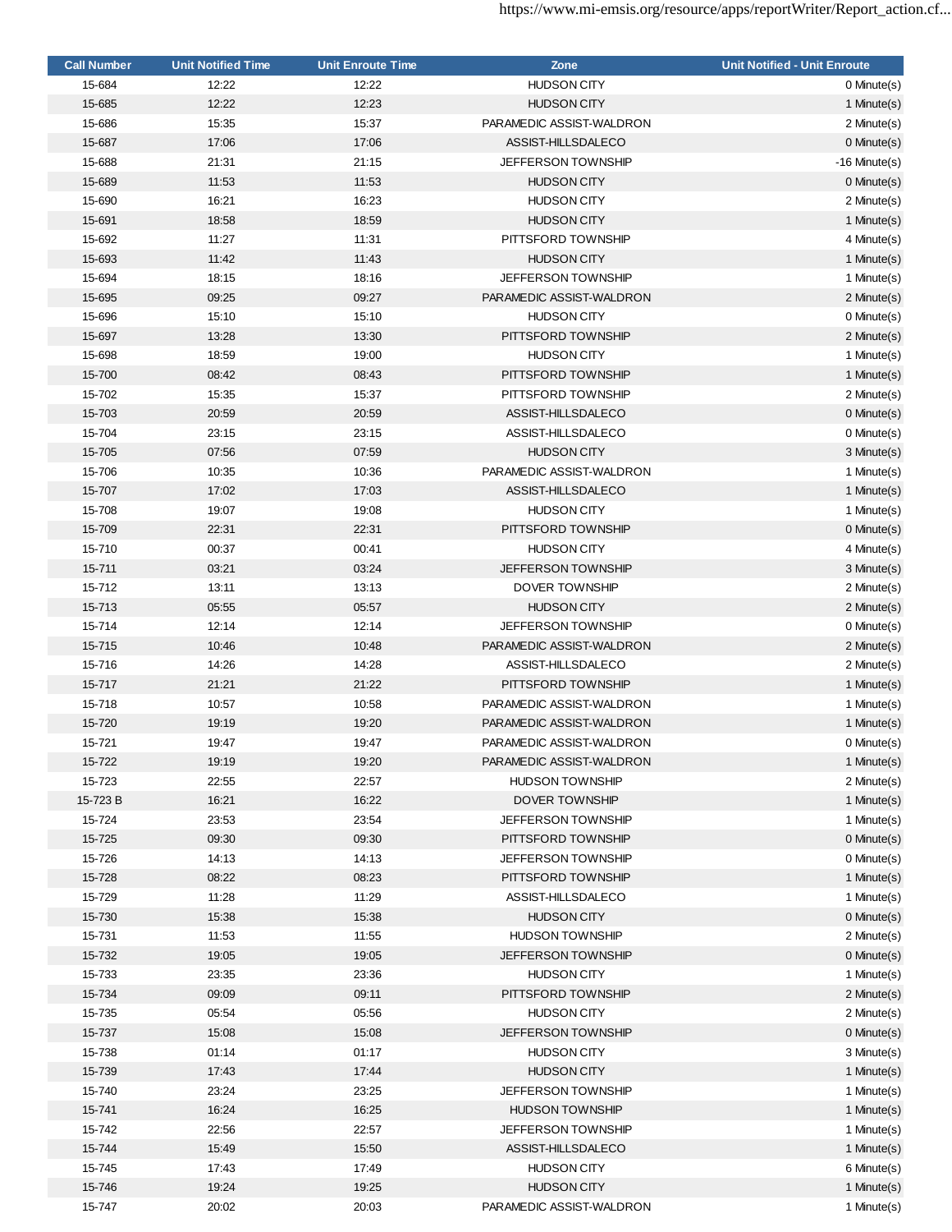| <b>Call Number</b> | <b>Unit Notified Time</b> | <b>Unit Enroute Time</b> | Zone                      | <b>Unit Notified - Unit Enroute</b> |
|--------------------|---------------------------|--------------------------|---------------------------|-------------------------------------|
| 15-684             | 12:22                     | 12:22                    | <b>HUDSON CITY</b>        | 0 Minute(s)                         |
| 15-685             | 12:22                     | 12:23                    | <b>HUDSON CITY</b>        | 1 Minute(s)                         |
| 15-686             | 15:35                     | 15:37                    | PARAMEDIC ASSIST-WALDRON  | 2 Minute(s)                         |
| 15-687             | 17:06                     | 17:06                    | ASSIST-HILLSDALECO        | 0 Minute(s)                         |
| 15-688             | 21:31                     | 21:15                    | <b>JEFFERSON TOWNSHIP</b> | $-16$ Minute $(s)$                  |
| 15-689             | 11:53                     | 11:53                    | <b>HUDSON CITY</b>        | 0 Minute(s)                         |
| 15-690             | 16:21                     | 16:23                    | <b>HUDSON CITY</b>        | 2 Minute(s)                         |
| 15-691             | 18:58                     | 18:59                    | <b>HUDSON CITY</b>        | 1 Minute(s)                         |
| 15-692             | 11:27                     | 11:31                    | PITTSFORD TOWNSHIP        | 4 Minute(s)                         |
| 15-693             | 11:42                     | 11:43                    | <b>HUDSON CITY</b>        | 1 Minute(s)                         |
| 15-694             | 18:15                     | 18:16                    | <b>JEFFERSON TOWNSHIP</b> | 1 Minute(s)                         |
| 15-695             | 09:25                     | 09:27                    | PARAMEDIC ASSIST-WALDRON  | 2 Minute(s)                         |
| 15-696             | 15:10                     | 15:10                    | <b>HUDSON CITY</b>        | 0 Minute(s)                         |
| 15-697             | 13:28                     | 13:30                    | PITTSFORD TOWNSHIP        | 2 Minute(s)                         |
| 15-698             | 18:59                     | 19:00                    | <b>HUDSON CITY</b>        | 1 Minute(s)                         |
| 15-700             | 08:42                     | 08:43                    | PITTSFORD TOWNSHIP        |                                     |
|                    |                           |                          | PITTSFORD TOWNSHIP        | 1 Minute(s)<br>2 Minute(s)          |
| 15-702             | 15:35                     | 15:37                    |                           |                                     |
| 15-703             | 20:59                     | 20:59                    | ASSIST-HILLSDALECO        | 0 Minute(s)                         |
| 15-704             | 23:15                     | 23:15                    | ASSIST-HILLSDALECO        | 0 Minute(s)                         |
| 15-705             | 07:56                     | 07:59                    | <b>HUDSON CITY</b>        | 3 Minute(s)                         |
| 15-706             | 10:35                     | 10:36                    | PARAMEDIC ASSIST-WALDRON  | 1 Minute(s)                         |
| 15-707             | 17:02                     | 17:03                    | ASSIST-HILLSDALECO        | 1 Minute(s)                         |
| 15-708             | 19:07                     | 19:08                    | <b>HUDSON CITY</b>        | 1 Minute(s)                         |
| 15-709             | 22:31                     | 22:31                    | PITTSFORD TOWNSHIP        | $0$ Minute $(s)$                    |
| 15-710             | 00:37                     | 00:41                    | <b>HUDSON CITY</b>        | 4 Minute(s)                         |
| 15-711             | 03:21                     | 03:24                    | <b>JEFFERSON TOWNSHIP</b> | 3 Minute(s)                         |
| 15-712             | 13:11                     | 13:13                    | <b>DOVER TOWNSHIP</b>     | 2 Minute(s)                         |
| 15-713             | 05:55                     | 05:57                    | <b>HUDSON CITY</b>        | 2 Minute(s)                         |
| 15-714             | 12:14                     | 12:14                    | <b>JEFFERSON TOWNSHIP</b> | 0 Minute(s)                         |
| 15-715             | 10:46                     | 10:48                    | PARAMEDIC ASSIST-WALDRON  | 2 Minute(s)                         |
| 15-716             | 14:26                     | 14:28                    | ASSIST-HILLSDALECO        | 2 Minute(s)                         |
| 15-717             | 21:21                     | 21:22                    | PITTSFORD TOWNSHIP        | 1 Minute(s)                         |
| 15-718             | 10:57                     | 10:58                    | PARAMEDIC ASSIST-WALDRON  | 1 Minute(s)                         |
| 15-720             | 19:19                     | 19:20                    | PARAMEDIC ASSIST-WALDRON  | 1 Minute(s)                         |
| 15-721             | 19:47                     | 19:47                    | PARAMEDIC ASSIST-WALDRON  | 0 Minute(s)                         |
| 15-722             | 19:19                     | 19:20                    | PARAMEDIC ASSIST-WALDRON  | 1 Minute(s)                         |
| 15-723             | 22:55                     | 22:57                    | <b>HUDSON TOWNSHIP</b>    | 2 Minute(s)                         |
| 15-723B            | 16:21                     | 16:22                    | DOVER TOWNSHIP            | 1 Minute(s)                         |
| 15-724             | 23:53                     | 23:54                    | <b>JEFFERSON TOWNSHIP</b> | 1 Minute(s)                         |
| 15-725             | 09:30                     | 09:30                    | PITTSFORD TOWNSHIP        | 0 Minute(s)                         |
| 15-726             | 14:13                     | 14:13                    | <b>JEFFERSON TOWNSHIP</b> | 0 Minute(s)                         |
| 15-728             | 08:22                     | 08:23                    | PITTSFORD TOWNSHIP        | 1 Minute(s)                         |
| 15-729             | 11:28                     | 11:29                    | ASSIST-HILLSDALECO        | 1 Minute(s)                         |
| 15-730             | 15:38                     | 15:38                    | <b>HUDSON CITY</b>        | 0 Minute(s)                         |
| 15-731             | 11:53                     | 11:55                    | <b>HUDSON TOWNSHIP</b>    | 2 Minute(s)                         |
| 15-732             | 19:05                     | 19:05                    | JEFFERSON TOWNSHIP        | 0 Minute(s)                         |
| 15-733             | 23:35                     | 23:36                    | <b>HUDSON CITY</b>        | 1 Minute(s)                         |
| 15-734             | 09:09                     | 09:11                    | PITTSFORD TOWNSHIP        | 2 Minute(s)                         |
| 15-735             | 05:54                     | 05:56                    | <b>HUDSON CITY</b>        | 2 Minute(s)                         |
| 15-737             | 15:08                     | 15:08                    | <b>JEFFERSON TOWNSHIP</b> | 0 Minute(s)                         |
| 15-738             | 01:14                     | 01:17                    |                           |                                     |
|                    |                           |                          | <b>HUDSON CITY</b>        | 3 Minute(s)                         |
| 15-739             | 17:43                     | 17:44                    | <b>HUDSON CITY</b>        | 1 Minute(s)                         |
| 15-740             | 23:24                     | 23:25                    | <b>JEFFERSON TOWNSHIP</b> | 1 Minute(s)                         |
| 15-741             | 16:24                     | 16:25                    | <b>HUDSON TOWNSHIP</b>    | 1 Minute(s)                         |
| 15-742             | 22:56                     | 22:57                    | <b>JEFFERSON TOWNSHIP</b> | 1 Minute(s)                         |
| 15-744             | 15:49                     | 15:50                    | ASSIST-HILLSDALECO        | 1 Minute(s)                         |
| 15-745             | 17:43                     | 17:49                    | <b>HUDSON CITY</b>        | 6 Minute(s)                         |
| 15-746             | 19:24                     | 19:25                    | <b>HUDSON CITY</b>        | 1 Minute(s)                         |
| 15-747             | 20:02                     | 20:03                    | PARAMEDIC ASSIST-WALDRON  | 1 Minute(s)                         |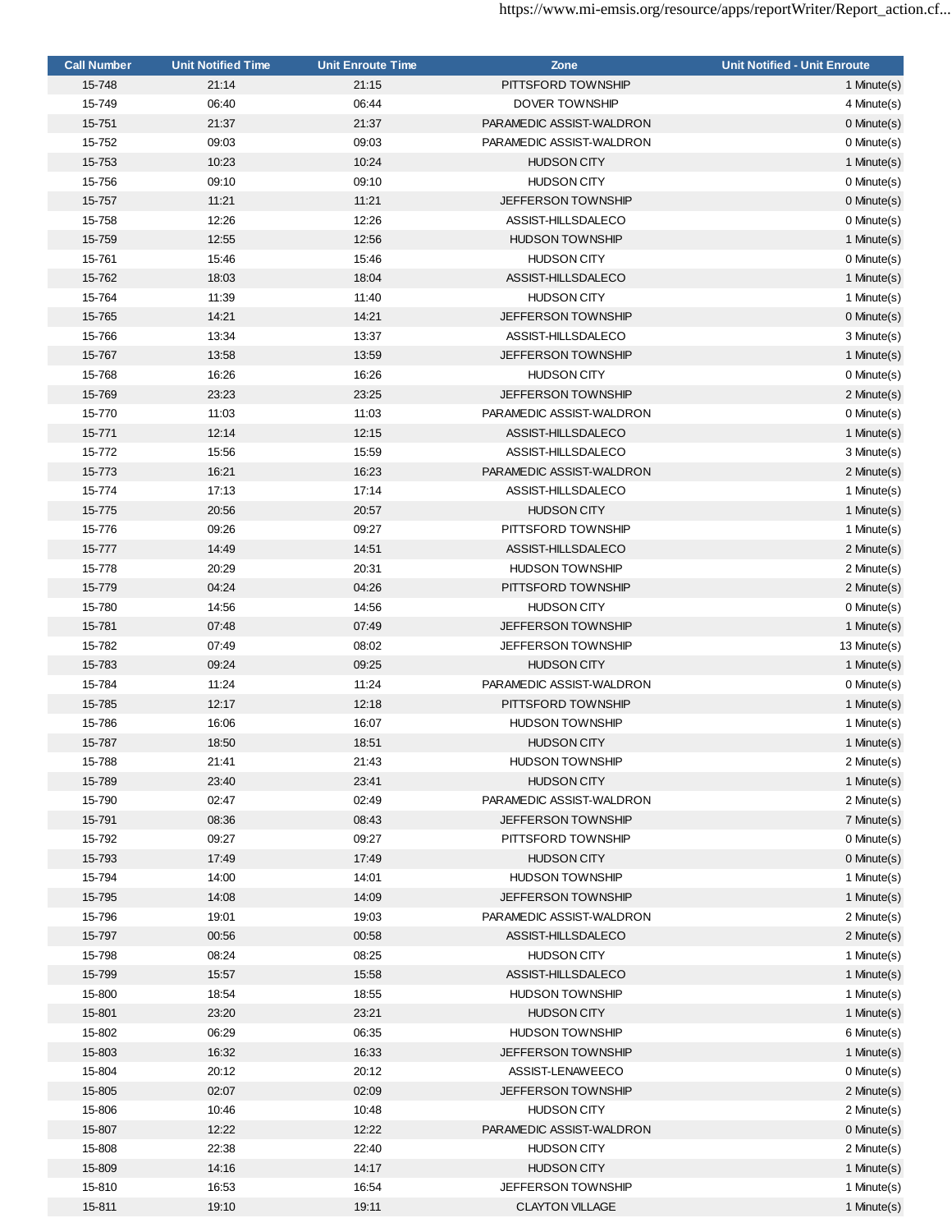| <b>Call Number</b> | <b>Unit Notified Time</b> | <b>Unit Enroute Time</b> | Zone                                         | <b>Unit Notified - Unit Enroute</b> |
|--------------------|---------------------------|--------------------------|----------------------------------------------|-------------------------------------|
| 15-748             | 21:14                     | 21:15                    | PITTSFORD TOWNSHIP                           | 1 Minute(s)                         |
| 15-749             | 06:40                     | 06:44                    | DOVER TOWNSHIP                               | 4 Minute(s)                         |
| 15-751             | 21:37                     | 21:37                    | PARAMEDIC ASSIST-WALDRON                     | 0 Minute(s)                         |
| 15-752             | 09:03                     | 09:03                    | PARAMEDIC ASSIST-WALDRON                     | 0 Minute(s)                         |
| 15-753             | 10:23                     | 10:24                    | <b>HUDSON CITY</b>                           | 1 Minute(s)                         |
| 15-756             | 09:10                     | 09:10                    | <b>HUDSON CITY</b>                           | 0 Minute(s)                         |
| 15-757             | 11:21                     | 11:21                    | <b>JEFFERSON TOWNSHIP</b>                    | 0 Minute(s)                         |
| 15-758             | 12:26                     | 12:26                    | ASSIST-HILLSDALECO                           | 0 Minute(s)                         |
| 15-759             | 12:55                     | 12:56                    | <b>HUDSON TOWNSHIP</b>                       | 1 Minute(s)                         |
| 15-761             | 15:46                     | 15:46                    | <b>HUDSON CITY</b>                           | 0 Minute(s)                         |
|                    |                           |                          |                                              | 1 Minute(s)                         |
| 15-762             | 18:03                     | 18:04                    | ASSIST-HILLSDALECO                           |                                     |
| 15-764             | 11:39                     | 11:40                    | <b>HUDSON CITY</b>                           | 1 Minute(s)                         |
| 15-765             | 14:21                     | 14:21                    | <b>JEFFERSON TOWNSHIP</b>                    | 0 Minute(s)                         |
| 15-766             | 13:34                     | 13:37                    | ASSIST-HILLSDALECO                           | 3 Minute(s)                         |
| 15-767             | 13:58                     | 13:59                    | <b>JEFFERSON TOWNSHIP</b>                    | 1 Minute(s)                         |
| 15-768             | 16:26                     | 16:26                    | <b>HUDSON CITY</b>                           | 0 Minute(s)                         |
| 15-769             | 23:23                     | 23:25                    | <b>JEFFERSON TOWNSHIP</b>                    | 2 Minute(s)                         |
| 15-770             | 11:03                     | 11:03                    | PARAMEDIC ASSIST-WALDRON                     | 0 Minute(s)                         |
| 15-771             | 12:14                     | 12:15                    | ASSIST-HILLSDALECO                           | 1 Minute(s)                         |
| 15-772             | 15:56                     | 15:59                    | ASSIST-HILLSDALECO                           | 3 Minute(s)                         |
| 15-773             | 16:21                     | 16:23                    | PARAMEDIC ASSIST-WALDRON                     | 2 Minute(s)                         |
| 15-774             | 17:13                     | 17:14                    | ASSIST-HILLSDALECO                           | 1 Minute(s)                         |
| 15-775             | 20:56                     | 20:57                    | <b>HUDSON CITY</b>                           | 1 Minute(s)                         |
| 15-776             | 09:26                     | 09:27                    | PITTSFORD TOWNSHIP                           | 1 Minute(s)                         |
| 15-777             | 14:49                     | 14:51                    | ASSIST-HILLSDALECO                           | 2 Minute(s)                         |
| 15-778             | 20:29                     | 20:31                    | <b>HUDSON TOWNSHIP</b>                       | 2 Minute(s)                         |
| 15-779             | 04:24                     | 04:26                    | PITTSFORD TOWNSHIP                           | 2 Minute(s)                         |
| 15-780             | 14:56                     | 14:56                    | <b>HUDSON CITY</b>                           | 0 Minute(s)                         |
| 15-781             | 07:48                     | 07:49                    | <b>JEFFERSON TOWNSHIP</b>                    | 1 Minute(s)                         |
| 15-782             | 07:49                     | 08:02                    | <b>JEFFERSON TOWNSHIP</b>                    | 13 Minute(s)                        |
| 15-783             | 09:24                     | 09:25                    | <b>HUDSON CITY</b>                           | 1 Minute(s)                         |
| 15-784             | 11:24                     | 11:24                    | PARAMEDIC ASSIST-WALDRON                     | 0 Minute(s)                         |
| 15-785             | 12:17                     | 12:18                    | PITTSFORD TOWNSHIP                           | 1 Minute(s)                         |
| 15-786             | 16:06                     | 16:07                    | <b>HUDSON TOWNSHIP</b>                       | 1 Minute(s)                         |
|                    |                           |                          |                                              |                                     |
| 15-787             | 18:50                     | 18:51                    | <b>HUDSON CITY</b><br><b>HUDSON TOWNSHIP</b> | 1 Minute(s)                         |
| 15-788             | 21:41                     | 21:43                    |                                              | 2 Minute(s)                         |
| 15-789             | 23:40                     | 23:41                    | <b>HUDSON CITY</b>                           | 1 Minute(s)                         |
| 15-790             | 02:47                     | 02:49                    | PARAMEDIC ASSIST-WALDRON                     | 2 Minute(s)                         |
| 15-791             | 08:36                     | 08:43                    | JEFFERSON TOWNSHIP                           | 7 Minute(s)                         |
| 15-792             | 09:27                     | 09:27                    | PITTSFORD TOWNSHIP                           | 0 Minute(s)                         |
| 15-793             | 17:49                     | 17:49                    | <b>HUDSON CITY</b>                           | 0 Minute(s)                         |
| 15-794             | 14:00                     | 14:01                    | <b>HUDSON TOWNSHIP</b>                       | 1 Minute(s)                         |
| 15-795             | 14:08                     | 14:09                    | <b>JEFFERSON TOWNSHIP</b>                    | 1 Minute(s)                         |
| 15-796             | 19:01                     | 19:03                    | PARAMEDIC ASSIST-WALDRON                     | 2 Minute(s)                         |
| 15-797             | 00:56                     | 00:58                    | ASSIST-HILLSDALECO                           | 2 Minute(s)                         |
| 15-798             | 08:24                     | 08:25                    | <b>HUDSON CITY</b>                           | 1 Minute(s)                         |
| 15-799             | 15:57                     | 15:58                    | ASSIST-HILLSDALECO                           | 1 Minute(s)                         |
| 15-800             | 18:54                     | 18:55                    | <b>HUDSON TOWNSHIP</b>                       | 1 Minute(s)                         |
| 15-801             | 23:20                     | 23:21                    | <b>HUDSON CITY</b>                           | 1 Minute(s)                         |
| 15-802             | 06:29                     | 06:35                    | <b>HUDSON TOWNSHIP</b>                       | 6 Minute(s)                         |
| 15-803             | 16:32                     | 16:33                    | <b>JEFFERSON TOWNSHIP</b>                    | 1 Minute(s)                         |
| 15-804             | 20:12                     | 20:12                    | ASSIST-LENAWEECO                             | 0 Minute(s)                         |
| 15-805             | 02:07                     | 02:09                    | JEFFERSON TOWNSHIP                           | 2 Minute(s)                         |
| 15-806             | 10:46                     | 10:48                    | <b>HUDSON CITY</b>                           | 2 Minute(s)                         |
| 15-807             | 12:22                     | 12:22                    | PARAMEDIC ASSIST-WALDRON                     | 0 Minute(s)                         |
| 15-808             | 22:38                     | 22:40                    | <b>HUDSON CITY</b>                           | 2 Minute(s)                         |
| 15-809             | 14:16                     | 14:17                    | <b>HUDSON CITY</b>                           | 1 Minute(s)                         |
| 15-810             | 16:53                     | 16:54                    | <b>JEFFERSON TOWNSHIP</b>                    | 1 Minute(s)                         |
| 15-811             | 19:10                     | 19:11                    | <b>CLAYTON VILLAGE</b>                       | 1 Minute(s)                         |
|                    |                           |                          |                                              |                                     |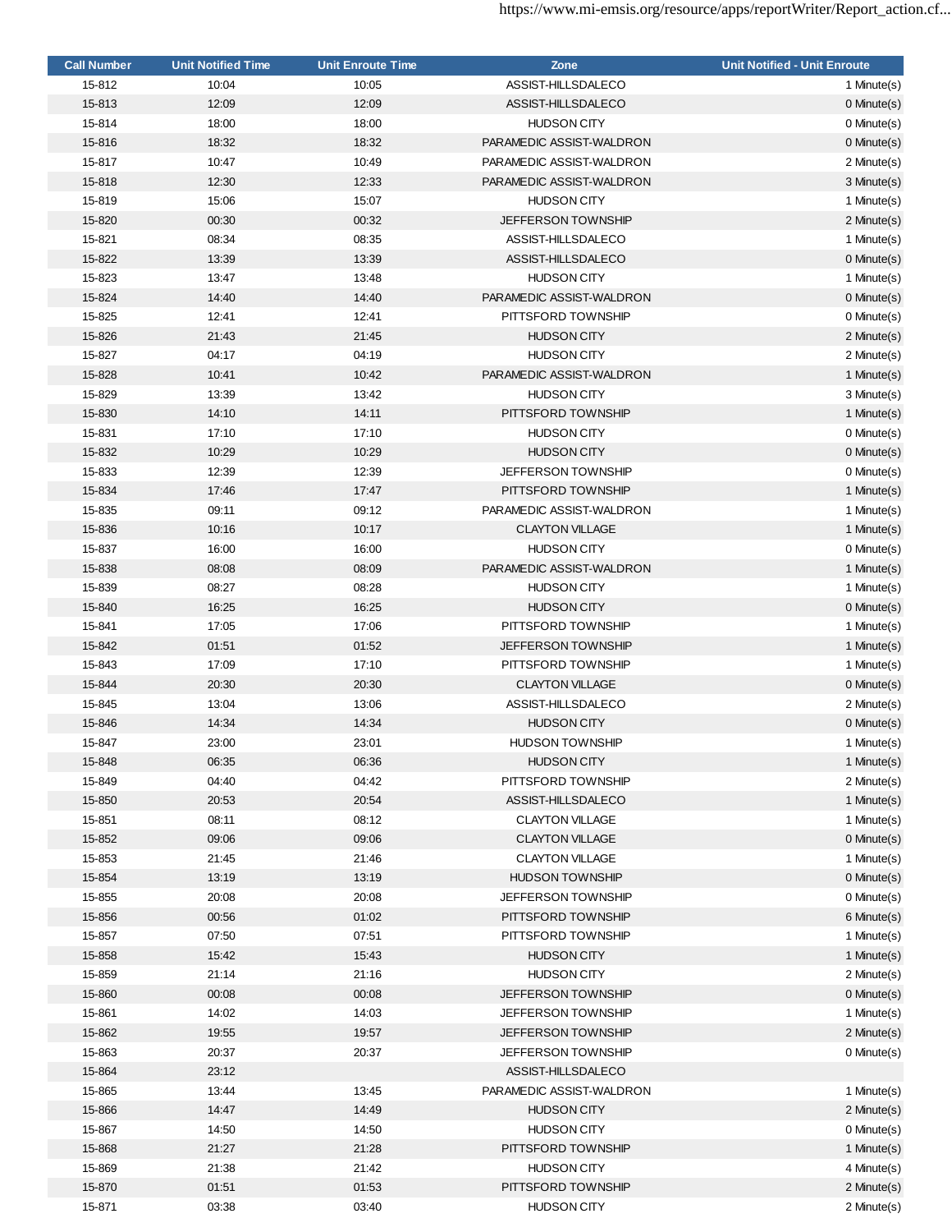| <b>Call Number</b> | <b>Unit Notified Time</b> | <b>Unit Enroute Time</b> | Zone                      | <b>Unit Notified - Unit Enroute</b> |
|--------------------|---------------------------|--------------------------|---------------------------|-------------------------------------|
| 15-812             | 10:04                     | 10:05                    | ASSIST-HILLSDALECO        | 1 Minute(s)                         |
| 15-813             | 12:09                     | 12:09                    | ASSIST-HILLSDALECO        | 0 Minute(s)                         |
| 15-814             | 18:00                     | 18:00                    | <b>HUDSON CITY</b>        | 0 Minute(s)                         |
| 15-816             | 18:32                     | 18:32                    | PARAMEDIC ASSIST-WALDRON  | $0$ Minute $(s)$                    |
| 15-817             | 10:47                     | 10:49                    | PARAMEDIC ASSIST-WALDRON  | 2 Minute(s)                         |
| 15-818             | 12:30                     | 12:33                    | PARAMEDIC ASSIST-WALDRON  | 3 Minute(s)                         |
| 15-819             | 15:06                     | 15:07                    | <b>HUDSON CITY</b>        | 1 Minute(s)                         |
| 15-820             | 00:30                     | 00:32                    | <b>JEFFERSON TOWNSHIP</b> | 2 Minute(s)                         |
| 15-821             | 08:34                     | 08:35                    | ASSIST-HILLSDALECO        | 1 Minute(s)                         |
| 15-822             | 13:39                     | 13:39                    | ASSIST-HILLSDALECO        | 0 Minute(s)                         |
| 15-823             | 13:47                     | 13:48                    | <b>HUDSON CITY</b>        | 1 Minute(s)                         |
| 15-824             | 14:40                     | 14:40                    | PARAMEDIC ASSIST-WALDRON  | $0$ Minute $(s)$                    |
| 15-825             | 12:41                     | 12:41                    | PITTSFORD TOWNSHIP        | 0 Minute(s)                         |
| 15-826             | 21:43                     | 21:45                    | <b>HUDSON CITY</b>        | 2 Minute(s)                         |
| 15-827             | 04:17                     | 04:19                    | <b>HUDSON CITY</b>        | 2 Minute(s)                         |
| 15-828             | 10:41                     | 10:42                    | PARAMEDIC ASSIST-WALDRON  | 1 Minute(s)                         |
| 15-829             | 13:39                     | 13:42                    | <b>HUDSON CITY</b>        | 3 Minute(s)                         |
| 15-830             | 14:10                     | 14:11                    | PITTSFORD TOWNSHIP        | 1 Minute(s)                         |
| 15-831             | 17:10                     | 17:10                    | <b>HUDSON CITY</b>        | 0 Minute(s)                         |
| 15-832             | 10:29                     | 10:29                    | <b>HUDSON CITY</b>        | 0 Minute(s)                         |
| 15-833             | 12:39                     | 12:39                    | <b>JEFFERSON TOWNSHIP</b> | 0 Minute(s)                         |
| 15-834             | 17:46                     | 17:47                    | PITTSFORD TOWNSHIP        | 1 Minute(s)                         |
| 15-835             | 09:11                     | 09:12                    | PARAMEDIC ASSIST-WALDRON  | 1 Minute(s)                         |
| 15-836             | 10:16                     | 10:17                    | <b>CLAYTON VILLAGE</b>    | 1 Minute(s)                         |
| 15-837             | 16:00                     | 16:00                    | <b>HUDSON CITY</b>        | 0 Minute(s)                         |
| 15-838             | 08:08                     | 08:09                    | PARAMEDIC ASSIST-WALDRON  | 1 Minute(s)                         |
| 15-839             | 08:27                     | 08:28                    | <b>HUDSON CITY</b>        | 1 Minute(s)                         |
| 15-840             | 16:25                     | 16:25                    | <b>HUDSON CITY</b>        | 0 Minute(s)                         |
| 15-841             | 17:05                     | 17:06                    | PITTSFORD TOWNSHIP        | 1 Minute(s)                         |
| 15-842             | 01:51                     | 01:52                    | <b>JEFFERSON TOWNSHIP</b> | 1 Minute(s)                         |
| 15-843             | 17:09                     | 17:10                    | PITTSFORD TOWNSHIP        | 1 Minute(s)                         |
| 15-844             | 20:30                     | 20:30                    | <b>CLAYTON VILLAGE</b>    | $0$ Minute $(s)$                    |
| 15-845             | 13:04                     | 13:06                    | ASSIST-HILLSDALECO        | 2 Minute(s)                         |
| 15-846             | 14:34                     | 14:34                    | <b>HUDSON CITY</b>        | 0 Minute(s)                         |
| 15-847             | 23:00                     | 23:01                    | <b>HUDSON TOWNSHIP</b>    | 1 Minute(s)                         |
| 15-848             | 06:35                     | 06:36                    | <b>HUDSON CITY</b>        | 1 Minute(s)                         |
| 15-849             | 04:40                     | 04:42                    | PITTSFORD TOWNSHIP        | 2 Minute(s)                         |
| 15-850             | 20:53                     | 20:54                    | ASSIST-HILLSDALECO        | 1 Minute(s)                         |
| 15-851             | 08:11                     | 08:12                    | <b>CLAYTON VILLAGE</b>    | 1 Minute(s)                         |
| 15-852             | 09:06                     | 09:06                    | <b>CLAYTON VILLAGE</b>    | 0 Minute(s)                         |
| 15-853             | 21:45                     | 21:46                    | <b>CLAYTON VILLAGE</b>    | 1 Minute(s)                         |
| 15-854             | 13:19                     | 13:19                    | <b>HUDSON TOWNSHIP</b>    | 0 Minute(s)                         |
| 15-855             | 20:08                     | 20:08                    | <b>JEFFERSON TOWNSHIP</b> | 0 Minute(s)                         |
| 15-856             | 00:56                     | 01:02                    | PITTSFORD TOWNSHIP        | 6 Minute(s)                         |
| 15-857             | 07:50                     | 07:51                    | PITTSFORD TOWNSHIP        | 1 Minute(s)                         |
| 15-858             | 15:42                     | 15:43                    | <b>HUDSON CITY</b>        | 1 Minute(s)                         |
| 15-859             | 21:14                     | 21:16                    | <b>HUDSON CITY</b>        | 2 Minute(s)                         |
| 15-860             | 00:08                     | 00:08                    | <b>JEFFERSON TOWNSHIP</b> | 0 Minute(s)                         |
| 15-861             | 14:02                     | 14:03                    | <b>JEFFERSON TOWNSHIP</b> | 1 Minute(s)                         |
| 15-862             | 19:55                     | 19:57                    | <b>JEFFERSON TOWNSHIP</b> | 2 Minute(s)                         |
| 15-863             | 20:37                     | 20:37                    | <b>JEFFERSON TOWNSHIP</b> | 0 Minute(s)                         |
| 15-864             | 23:12                     |                          | ASSIST-HILLSDALECO        |                                     |
| 15-865             | 13:44                     | 13:45                    | PARAMEDIC ASSIST-WALDRON  | 1 Minute(s)                         |
| 15-866             | 14:47                     | 14:49                    | <b>HUDSON CITY</b>        | 2 Minute(s)                         |
| 15-867             | 14:50                     | 14:50                    | <b>HUDSON CITY</b>        | 0 Minute(s)                         |
| 15-868             | 21:27                     | 21:28                    | PITTSFORD TOWNSHIP        | 1 Minute(s)                         |
| 15-869             | 21:38                     | 21:42                    | <b>HUDSON CITY</b>        | 4 Minute(s)                         |
| 15-870             | 01:51                     | 01:53                    | PITTSFORD TOWNSHIP        | 2 Minute(s)                         |
| 15-871             | 03:38                     | 03:40                    | <b>HUDSON CITY</b>        | 2 Minute(s)                         |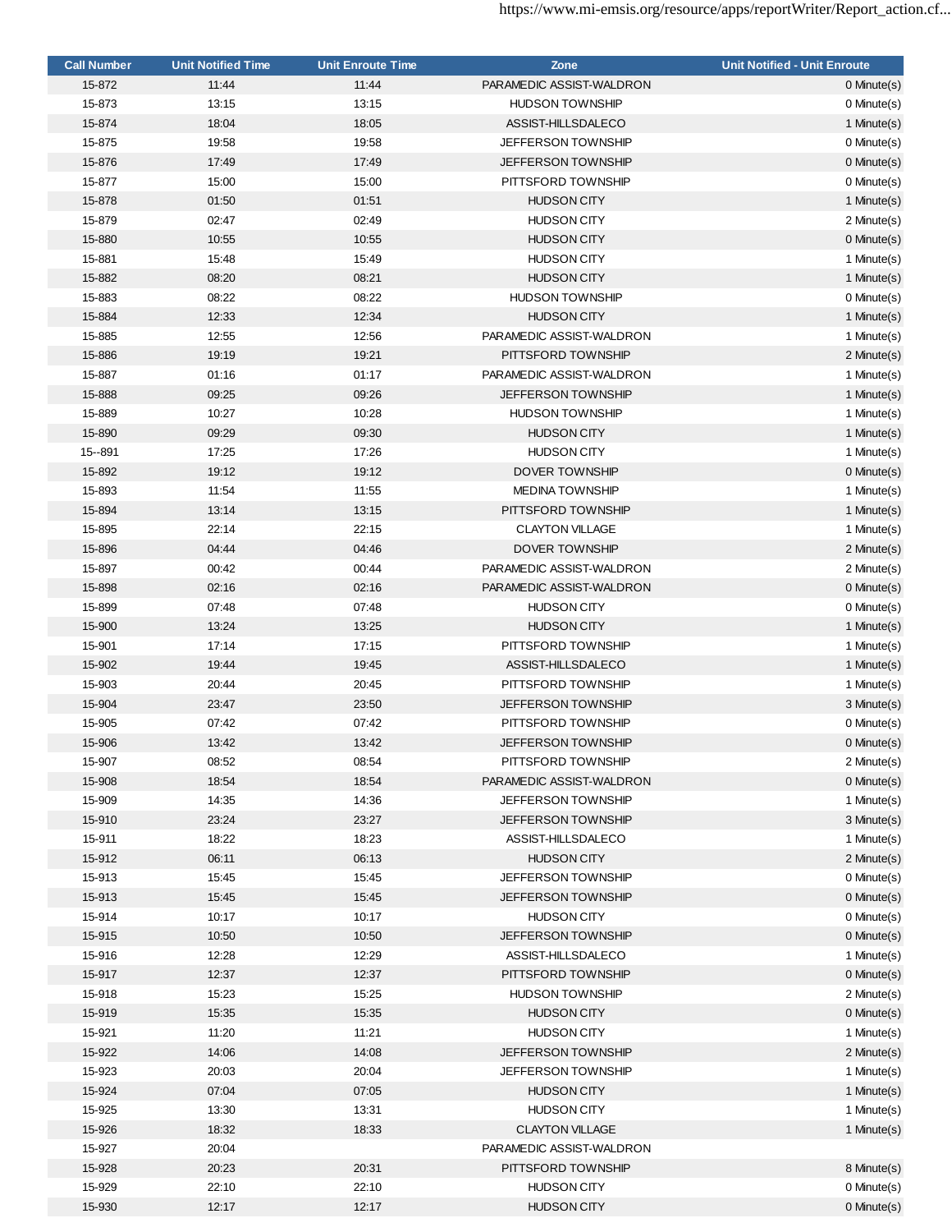| <b>Call Number</b> | <b>Unit Notified Time</b> | <b>Unit Enroute Time</b> | Zone                      | <b>Unit Notified - Unit Enroute</b> |
|--------------------|---------------------------|--------------------------|---------------------------|-------------------------------------|
| 15-872             | 11:44                     | 11:44                    | PARAMEDIC ASSIST-WALDRON  | 0 Minute(s)                         |
| 15-873             | 13:15                     | 13:15                    | <b>HUDSON TOWNSHIP</b>    | 0 Minute(s)                         |
| 15-874             | 18:04                     | 18:05                    | ASSIST-HILLSDALECO        | 1 Minute(s)                         |
| 15-875             | 19:58                     | 19:58                    | <b>JEFFERSON TOWNSHIP</b> | 0 Minute(s)                         |
| 15-876             | 17:49                     | 17:49                    | <b>JEFFERSON TOWNSHIP</b> | $0$ Minute $(s)$                    |
| 15-877             | 15:00                     | 15:00                    | PITTSFORD TOWNSHIP        | 0 Minute(s)                         |
| 15-878             | 01:50                     | 01:51                    | <b>HUDSON CITY</b>        | 1 Minute(s)                         |
| 15-879             | 02:47                     | 02:49                    | <b>HUDSON CITY</b>        | 2 Minute(s)                         |
| 15-880             | 10:55                     | 10:55                    | <b>HUDSON CITY</b>        | 0 Minute(s)                         |
| 15-881             | 15:48                     | 15:49                    | <b>HUDSON CITY</b>        | 1 Minute(s)                         |
| 15-882             | 08:20                     | 08:21                    | <b>HUDSON CITY</b>        | 1 Minute(s)                         |
| 15-883             | 08:22                     | 08:22                    | <b>HUDSON TOWNSHIP</b>    | 0 Minute(s)                         |
| 15-884             | 12:33                     | 12:34                    | <b>HUDSON CITY</b>        | 1 Minute(s)                         |
| 15-885             | 12:55                     | 12:56                    | PARAMEDIC ASSIST-WALDRON  | 1 Minute(s)                         |
| 15-886             | 19:19                     | 19:21                    | PITTSFORD TOWNSHIP        | 2 Minute(s)                         |
| 15-887             | 01:16                     | 01:17                    | PARAMEDIC ASSIST-WALDRON  | 1 Minute(s)                         |
| 15-888             | 09:25                     | 09:26                    | <b>JEFFERSON TOWNSHIP</b> | 1 Minute(s)                         |
| 15-889             | 10:27                     | 10:28                    | <b>HUDSON TOWNSHIP</b>    | 1 Minute(s)                         |
| 15-890             | 09:29                     | 09:30                    | <b>HUDSON CITY</b>        | 1 Minute(s)                         |
| 15 -- 891          | 17:25                     | 17:26                    | <b>HUDSON CITY</b>        | 1 Minute(s)                         |
| 15-892             | 19:12                     | 19:12                    | DOVER TOWNSHIP            | $0$ Minute $(s)$                    |
| 15-893             | 11:54                     | 11:55                    | <b>MEDINA TOWNSHIP</b>    | 1 Minute(s)                         |
| 15-894             | 13:14                     | 13:15                    | PITTSFORD TOWNSHIP        | 1 Minute(s)                         |
| 15-895             | 22:14                     | 22:15                    | <b>CLAYTON VILLAGE</b>    | 1 Minute(s)                         |
| 15-896             | 04:44                     | 04:46                    | <b>DOVER TOWNSHIP</b>     | 2 Minute(s)                         |
| 15-897             | 00:42                     | 00:44                    | PARAMEDIC ASSIST-WALDRON  | 2 Minute(s)                         |
| 15-898             | 02:16                     | 02:16                    | PARAMEDIC ASSIST-WALDRON  | 0 Minute(s)                         |
| 15-899             | 07:48                     | 07:48                    | <b>HUDSON CITY</b>        | 0 Minute(s)                         |
| 15-900             | 13:24                     | 13:25                    | <b>HUDSON CITY</b>        | 1 Minute(s)                         |
| 15-901             | 17:14                     | 17:15                    | PITTSFORD TOWNSHIP        | 1 Minute(s)                         |
| 15-902             | 19:44                     | 19:45                    | ASSIST-HILLSDALECO        | 1 Minute(s)                         |
| 15-903             | 20:44                     | 20:45                    | PITTSFORD TOWNSHIP        | 1 Minute(s)                         |
| 15-904             | 23:47                     | 23:50                    | <b>JEFFERSON TOWNSHIP</b> | 3 Minute(s)                         |
| 15-905             | 07:42                     | 07:42                    | PITTSFORD TOWNSHIP        | 0 Minute(s)                         |
| 15-906             | 13:42                     | 13:42                    | <b>JEFFERSON TOWNSHIP</b> | 0 Minute(s)                         |
| 15-907             | 08:52                     | 08:54                    | PITTSFORD TOWNSHIP        | 2 Minute(s)                         |
| 15-908             | 18:54                     | 18:54                    | PARAMEDIC ASSIST-WALDRON  | 0 Minute(s)                         |
| 15-909             | 14:35                     | 14:36                    | <b>JEFFERSON TOWNSHIP</b> | 1 Minute(s)                         |
| 15-910             | 23:24                     | 23:27                    | <b>JEFFERSON TOWNSHIP</b> | 3 Minute(s)                         |
| 15-911             | 18:22                     | 18:23                    | ASSIST-HILLSDALECO        | 1 Minute(s)                         |
| 15-912             | 06:11                     | 06:13                    | <b>HUDSON CITY</b>        | 2 Minute(s)                         |
| 15-913             | 15:45                     | 15:45                    | JEFFERSON TOWNSHIP        | 0 Minute(s)                         |
| 15-913             | 15:45                     | 15:45                    | <b>JEFFERSON TOWNSHIP</b> | $0$ Minute $(s)$                    |
| 15-914             | 10:17                     | 10:17                    | <b>HUDSON CITY</b>        | 0 Minute(s)                         |
| 15-915             | 10:50                     | 10:50                    | <b>JEFFERSON TOWNSHIP</b> | 0 Minute(s)                         |
| 15-916             | 12:28                     | 12:29                    | ASSIST-HILLSDALECO        | 1 Minute(s)                         |
| 15-917             | 12:37                     | 12:37                    | PITTSFORD TOWNSHIP        | 0 Minute(s)                         |
| 15-918             | 15:23                     | 15:25                    | <b>HUDSON TOWNSHIP</b>    | 2 Minute(s)                         |
| 15-919             | 15:35                     | 15:35                    | <b>HUDSON CITY</b>        | 0 Minute(s)                         |
| 15-921             | 11:20                     | 11:21                    | <b>HUDSON CITY</b>        | 1 Minute(s)                         |
| 15-922             | 14:06                     | 14:08                    | <b>JEFFERSON TOWNSHIP</b> | 2 Minute(s)                         |
| 15-923             | 20:03                     | 20:04                    | <b>JEFFERSON TOWNSHIP</b> | 1 Minute(s)                         |
| 15-924             | 07:04                     | 07:05                    | <b>HUDSON CITY</b>        | 1 Minute(s)                         |
| 15-925             | 13:30                     | 13:31                    | <b>HUDSON CITY</b>        | 1 Minute(s)                         |
| 15-926             | 18:32                     | 18:33                    | <b>CLAYTON VILLAGE</b>    | 1 Minute(s)                         |
| 15-927             | 20:04                     |                          | PARAMEDIC ASSIST-WALDRON  |                                     |
| 15-928             | 20:23                     | 20:31                    | PITTSFORD TOWNSHIP        | 8 Minute(s)                         |
| 15-929             | 22:10                     | 22:10                    | <b>HUDSON CITY</b>        | 0 Minute(s)                         |
| 15-930             | 12:17                     | 12:17                    | <b>HUDSON CITY</b>        | 0 Minute(s)                         |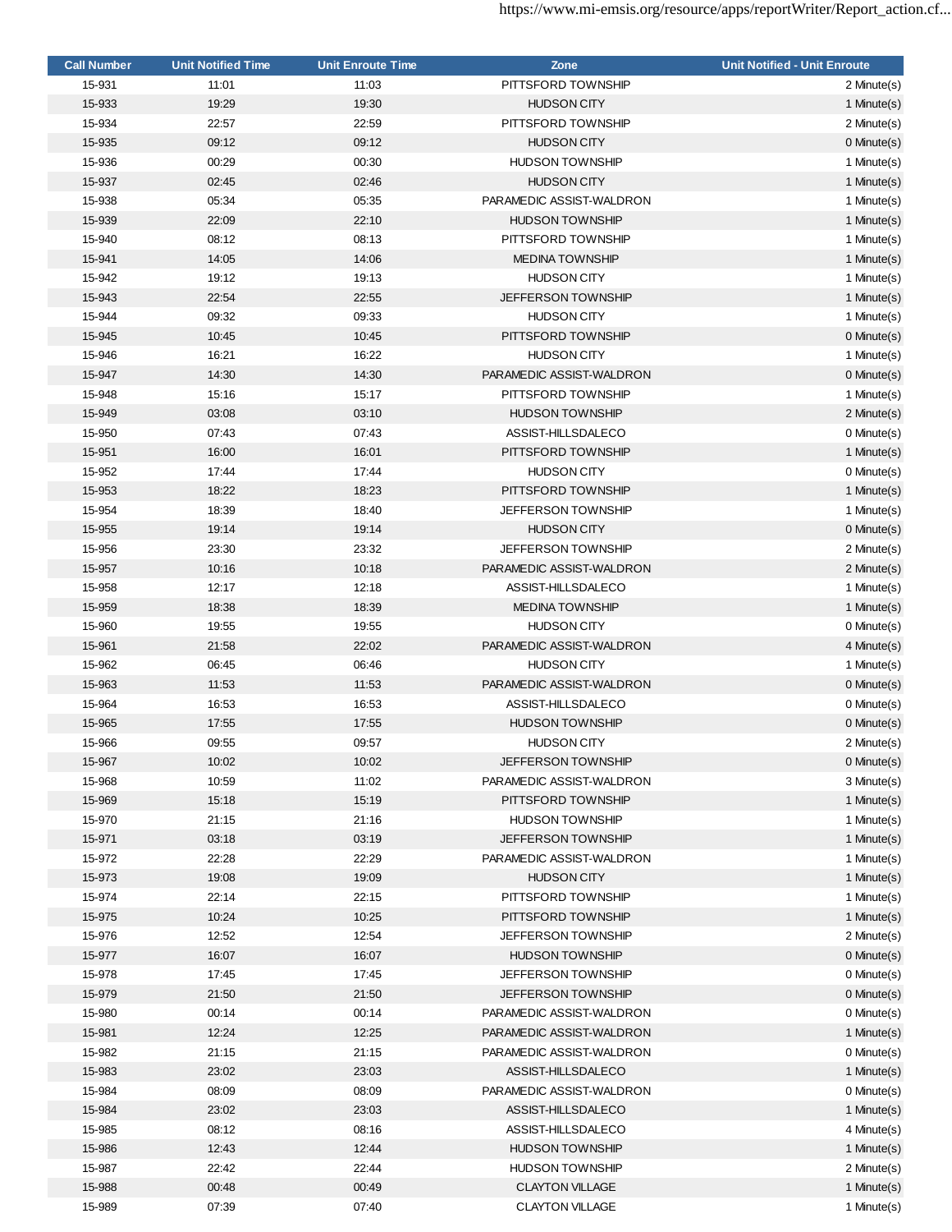| <b>Call Number</b> | <b>Unit Notified Time</b> | <b>Unit Enroute Time</b> | Zone                      | <b>Unit Notified - Unit Enroute</b> |
|--------------------|---------------------------|--------------------------|---------------------------|-------------------------------------|
| 15-931             | 11:01                     | 11:03                    | PITTSFORD TOWNSHIP        | 2 Minute(s)                         |
| 15-933             | 19:29                     | 19:30                    | <b>HUDSON CITY</b>        | 1 Minute(s)                         |
| 15-934             | 22:57                     | 22:59                    | PITTSFORD TOWNSHIP        | 2 Minute(s)                         |
| 15-935             | 09:12                     | 09:12                    | <b>HUDSON CITY</b>        | $0$ Minute $(s)$                    |
| 15-936             | 00:29                     | 00:30                    | <b>HUDSON TOWNSHIP</b>    | 1 Minute(s)                         |
| 15-937             | 02:45                     | 02:46                    | <b>HUDSON CITY</b>        | 1 Minute(s)                         |
| 15-938             | 05:34                     | 05:35                    | PARAMEDIC ASSIST-WALDRON  | 1 Minute(s)                         |
| 15-939             | 22:09                     | 22:10                    | <b>HUDSON TOWNSHIP</b>    | 1 Minute(s)                         |
| 15-940             | 08:12                     | 08:13                    | PITTSFORD TOWNSHIP        | 1 Minute(s)                         |
| 15-941             | 14:05                     | 14:06                    | <b>MEDINA TOWNSHIP</b>    | 1 Minute(s)                         |
| 15-942             | 19:12                     | 19:13                    | <b>HUDSON CITY</b>        | 1 Minute(s)                         |
| 15-943             | 22:54                     | 22:55                    | <b>JEFFERSON TOWNSHIP</b> | 1 Minute(s)                         |
| 15-944             | 09:32                     | 09:33                    | <b>HUDSON CITY</b>        | 1 Minute(s)                         |
| 15-945             | 10:45                     | 10:45                    | PITTSFORD TOWNSHIP        | 0 Minute(s)                         |
| 15-946             | 16:21                     | 16:22                    | <b>HUDSON CITY</b>        | 1 Minute(s)                         |
| 15-947             | 14:30                     | 14:30                    | PARAMEDIC ASSIST-WALDRON  | 0 Minute(s)                         |
| 15-948             | 15:16                     | 15:17                    | PITTSFORD TOWNSHIP        | 1 Minute(s)                         |
| 15-949             | 03:08                     | 03:10                    | <b>HUDSON TOWNSHIP</b>    |                                     |
| 15-950             | 07:43                     | 07:43                    | ASSIST-HILLSDALECO        | 2 Minute(s)<br>0 Minute(s)          |
|                    |                           |                          |                           |                                     |
| 15-951             | 16:00                     | 16:01                    | PITTSFORD TOWNSHIP        | 1 Minute(s)                         |
| 15-952             | 17:44                     | 17:44                    | <b>HUDSON CITY</b>        | 0 Minute(s)                         |
| 15-953             | 18:22                     | 18:23                    | PITTSFORD TOWNSHIP        | 1 Minute(s)                         |
| 15-954             | 18:39                     | 18:40                    | <b>JEFFERSON TOWNSHIP</b> | 1 Minute(s)                         |
| 15-955             | 19:14                     | 19:14                    | <b>HUDSON CITY</b>        | $0$ Minute $(s)$                    |
| 15-956             | 23:30                     | 23:32                    | <b>JEFFERSON TOWNSHIP</b> | 2 Minute(s)                         |
| 15-957             | 10:16                     | 10:18                    | PARAMEDIC ASSIST-WALDRON  | 2 Minute(s)                         |
| 15-958             | 12:17                     | 12:18                    | ASSIST-HILLSDALECO        | 1 Minute(s)                         |
| 15-959             | 18:38                     | 18:39                    | <b>MEDINA TOWNSHIP</b>    | 1 Minute(s)                         |
| 15-960             | 19:55                     | 19:55                    | <b>HUDSON CITY</b>        | 0 Minute(s)                         |
| 15-961             | 21:58                     | 22:02                    | PARAMEDIC ASSIST-WALDRON  | 4 Minute(s)                         |
| 15-962             | 06:45                     | 06:46                    | <b>HUDSON CITY</b>        | 1 Minute(s)                         |
| 15-963             | 11:53                     | 11:53                    | PARAMEDIC ASSIST-WALDRON  | 0 Minute(s)                         |
| 15-964             | 16:53                     | 16:53                    | ASSIST-HILLSDALECO        | 0 Minute(s)                         |
| 15-965             | 17:55                     | 17:55                    | <b>HUDSON TOWNSHIP</b>    | 0 Minute(s)                         |
| 15-966             | 09:55                     | 09:57                    | <b>HUDSON CITY</b>        | 2 Minute(s)                         |
| 15-967             | 10:02                     | 10:02                    | <b>JEFFERSON TOWNSHIP</b> | $0$ Minute $(s)$                    |
| 15-968             | 10:59                     | 11:02                    | PARAMEDIC ASSIST-WALDRON  | 3 Minute(s)                         |
| 15-969             | 15:18                     | 15:19                    | PITTSFORD TOWNSHIP        | 1 Minute(s)                         |
| 15-970             | 21:15                     | 21:16                    | <b>HUDSON TOWNSHIP</b>    | 1 Minute(s)                         |
| 15-971             | 03:18                     | 03:19                    | <b>JEFFERSON TOWNSHIP</b> | 1 Minute(s)                         |
| 15-972             | 22:28                     | 22:29                    | PARAMEDIC ASSIST-WALDRON  | 1 Minute(s)                         |
| 15-973             | 19:08                     | 19:09                    | <b>HUDSON CITY</b>        | 1 Minute(s)                         |
| 15-974             | 22:14                     | 22:15                    | PITTSFORD TOWNSHIP        | 1 Minute(s)                         |
| 15-975             | 10:24                     | 10:25                    | PITTSFORD TOWNSHIP        | 1 Minute(s)                         |
| 15-976             | 12:52                     | 12:54                    | <b>JEFFERSON TOWNSHIP</b> | 2 Minute(s)                         |
| 15-977             | 16:07                     | 16:07                    | <b>HUDSON TOWNSHIP</b>    | 0 Minute(s)                         |
| 15-978             | 17:45                     | 17:45                    | <b>JEFFERSON TOWNSHIP</b> | 0 Minute(s)                         |
| 15-979             | 21:50                     | 21:50                    | <b>JEFFERSON TOWNSHIP</b> | 0 Minute(s)                         |
| 15-980             | 00:14                     | 00:14                    | PARAMEDIC ASSIST-WALDRON  | 0 Minute(s)                         |
| 15-981             | 12:24                     | 12:25                    | PARAMEDIC ASSIST-WALDRON  | 1 Minute(s)                         |
| 15-982             | 21:15                     | 21:15                    | PARAMEDIC ASSIST-WALDRON  | 0 Minute(s)                         |
| 15-983             | 23:02                     | 23:03                    | ASSIST-HILLSDALECO        | 1 Minute(s)                         |
|                    |                           |                          |                           |                                     |
| 15-984             | 08:09                     | 08:09                    | PARAMEDIC ASSIST-WALDRON  | 0 Minute(s)                         |
| 15-984             | 23:02                     | 23:03                    | ASSIST-HILLSDALECO        | 1 Minute(s)                         |
| 15-985             | 08:12                     | 08:16                    | ASSIST-HILLSDALECO        | 4 Minute(s)                         |
| 15-986             | 12:43                     | 12:44                    | <b>HUDSON TOWNSHIP</b>    | 1 Minute(s)                         |
| 15-987             | 22:42                     | 22:44                    | <b>HUDSON TOWNSHIP</b>    | 2 Minute(s)                         |
| 15-988             | 00:48                     | 00:49                    | <b>CLAYTON VILLAGE</b>    | 1 Minute(s)                         |
| 15-989             | 07:39                     | 07:40                    | <b>CLAYTON VILLAGE</b>    | 1 Minute(s)                         |